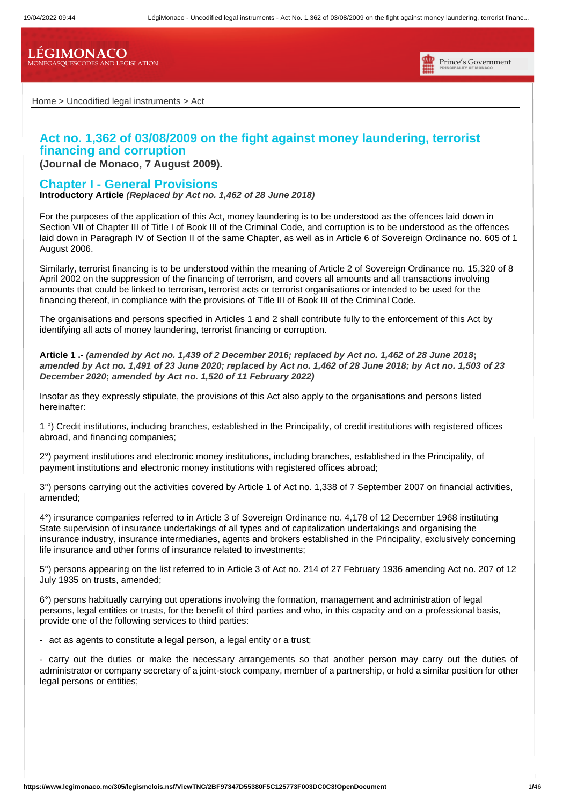**LÉGIMONACO** MONEGASQUESCODES AND LEGISLATION



Home > Uncodified legal instruments > Act

# **Act no. 1,362 of 03/08/2009 on the fight against money laundering, terrorist financing and corruption**

**(Journal de Monaco, 7 August 2009).**

# **Chapter I - General Provisions**

**Introductory Article** *(Replaced by Act no. 1,462 of 28 June 2018)*

For the purposes of the application of this Act, money laundering is to be understood as the offences laid down in Section VII of Chapter III of Title I of Book III of the Criminal Code, and corruption is to be understood as the offences laid down in Paragraph IV of Section II of the same Chapter, as well as in Article 6 of Sovereign Ordinance no. 605 of 1 August 2006.

Similarly, terrorist financing is to be understood within the meaning of Article 2 of Sovereign Ordinance no. 15,320 of 8 April 2002 on the suppression of the financing of terrorism, and covers all amounts and all transactions involving amounts that could be linked to terrorism, terrorist acts or terrorist organisations or intended to be used for the financing thereof, in compliance with the provisions of Title III of Book III of the Criminal Code.

The organisations and persons specified in Articles 1 and 2 shall contribute fully to the enforcement of this Act by identifying all acts of money laundering, terrorist financing or corruption.

**Article 1 .-** *(amended by Act no. 1,439 of 2 December 2016; replaced by Act no. 1,462 of 28 June 2018***;**  *amended by Act no. 1,491 of 23 June 2020; replaced by Act no. 1,462 of 28 June 2018; by Act no. 1,503 of 23 December 2020***;** *amended by Act no. 1,520 of 11 February 2022)*

Insofar as they expressly stipulate, the provisions of this Act also apply to the organisations and persons listed hereinafter:

1 °) Credit institutions, including branches, established in the Principality, of credit institutions with registered offices abroad, and financing companies;

2°) payment institutions and electronic money institutions, including branches, established in the Principality, of payment institutions and electronic money institutions with registered offices abroad;

3°) persons carrying out the activities covered by Article 1 of Act no. 1,338 of 7 September 2007 on financial activities, amended;

4°) insurance companies referred to in Article 3 of Sovereign Ordinance no. 4,178 of 12 December 1968 instituting State supervision of insurance undertakings of all types and of capitalization undertakings and organising the insurance industry, insurance intermediaries, agents and brokers established in the Principality, exclusively concerning life insurance and other forms of insurance related to investments;

5°) persons appearing on the list referred to in Article 3 of Act no. 214 of 27 February 1936 amending Act no. 207 of 12 July 1935 on trusts, amended;

6°) persons habitually carrying out operations involving the formation, management and administration of legal persons, legal entities or trusts, for the benefit of third parties and who, in this capacity and on a professional basis, provide one of the following services to third parties:

- act as agents to constitute a legal person, a legal entity or a trust;

- carry out the duties or make the necessary arrangements so that another person may carry out the duties of administrator or company secretary of a joint-stock company, member of a partnership, or hold a similar position for other legal persons or entities;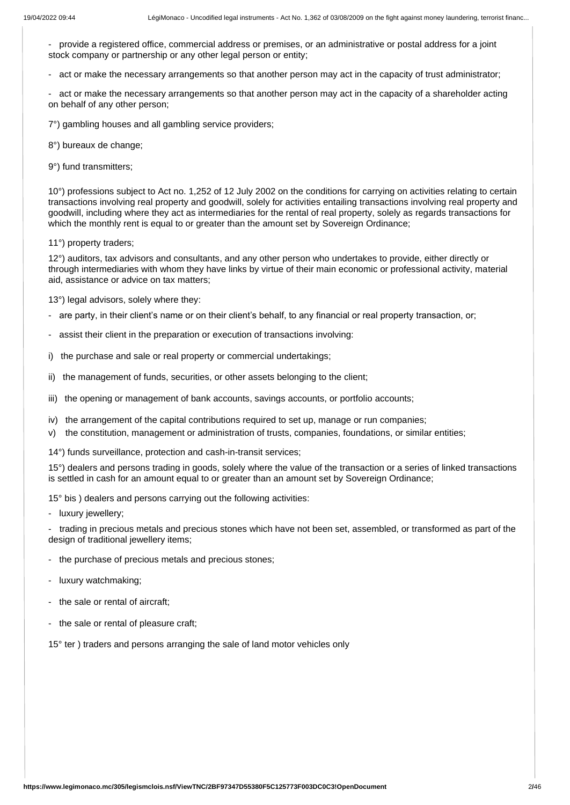- provide a registered office, commercial address or premises, or an administrative or postal address for a joint stock company or partnership or any other legal person or entity;

- act or make the necessary arrangements so that another person may act in the capacity of trust administrator;

- act or make the necessary arrangements so that another person may act in the capacity of a shareholder acting on behalf of any other person;

7°) gambling houses and all gambling service providers;

8°) bureaux de change:

9°) fund transmitters;

10°) professions subject to Act no. 1,252 of 12 July 2002 on the conditions for carrying on activities relating to certain transactions involving real property and goodwill, solely for activities entailing transactions involving real property and goodwill, including where they act as intermediaries for the rental of real property, solely as regards transactions for which the monthly rent is equal to or greater than the amount set by Sovereign Ordinance;

11°) property traders;

12°) auditors, tax advisors and consultants, and any other person who undertakes to provide, either directly or through intermediaries with whom they have links by virtue of their main economic or professional activity, material aid, assistance or advice on tax matters;

13°) legal advisors, solely where they:

- are party, in their client's name or on their client's behalf, to any financial or real property transaction, or;
- assist their client in the preparation or execution of transactions involving:
- i) the purchase and sale or real property or commercial undertakings;
- ii) the management of funds, securities, or other assets belonging to the client;
- iii) the opening or management of bank accounts, savings accounts, or portfolio accounts;
- iv) the arrangement of the capital contributions required to set up, manage or run companies;
- v) the constitution, management or administration of trusts, companies, foundations, or similar entities;
- 14°) funds surveillance, protection and cash-in-transit services;

15°) dealers and persons trading in goods, solely where the value of the transaction or a series of linked transactions is settled in cash for an amount equal to or greater than an amount set by Sovereign Ordinance;

15° bis ) dealers and persons carrying out the following activities:

- luxury jewellery;

- trading in precious metals and precious stones which have not been set, assembled, or transformed as part of the design of traditional jewellery items;

- the purchase of precious metals and precious stones;
- luxury watchmaking;
- the sale or rental of aircraft;
- the sale or rental of pleasure craft;

15° ter) traders and persons arranging the sale of land motor vehicles only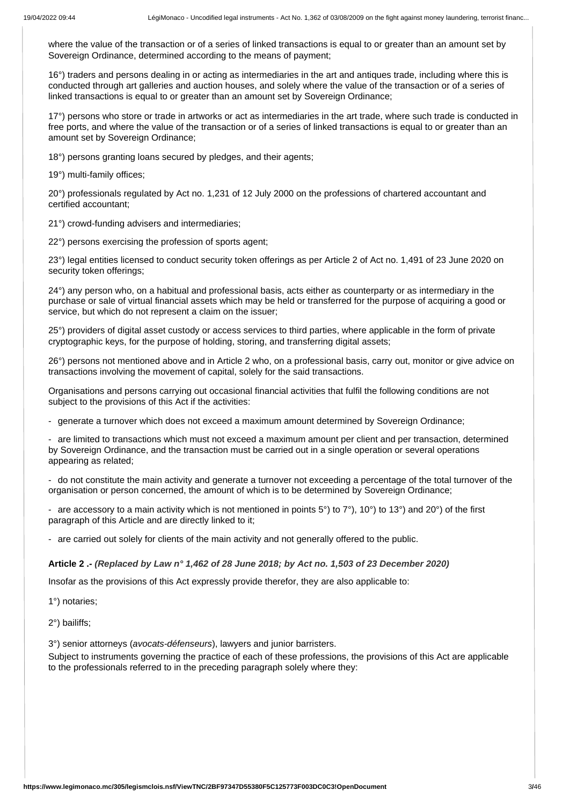where the value of the transaction or of a series of linked transactions is equal to or greater than an amount set by Sovereign Ordinance, determined according to the means of payment;

16°) traders and persons dealing in or acting as intermediaries in the art and antiques trade, including where this is conducted through art galleries and auction houses, and solely where the value of the transaction or of a series of linked transactions is equal to or greater than an amount set by Sovereign Ordinance;

17°) persons who store or trade in artworks or act as intermediaries in the art trade, where such trade is conducted in free ports, and where the value of the transaction or of a series of linked transactions is equal to or greater than an amount set by Sovereign Ordinance;

18°) persons granting loans secured by pledges, and their agents;

19°) multi-family offices;

20°) professionals regulated by Act no. 1,231 of 12 July 2000 on the professions of chartered accountant and certified accountant;

21°) crowd-funding advisers and intermediaries;

22°) persons exercising the profession of sports agent;

23°) legal entities licensed to conduct security token offerings as per Article 2 of Act no. 1,491 of 23 June 2020 on security token offerings;

24°) any person who, on a habitual and professional basis, acts either as counterparty or as intermediary in the purchase or sale of virtual financial assets which may be held or transferred for the purpose of acquiring a good or service, but which do not represent a claim on the issuer;

25°) providers of digital asset custody or access services to third parties, where applicable in the form of private cryptographic keys, for the purpose of holding, storing, and transferring digital assets;

26°) persons not mentioned above and in Article 2 who, on a professional basis, carry out, monitor or give advice on transactions involving the movement of capital, solely for the said transactions.

Organisations and persons carrying out occasional financial activities that fulfil the following conditions are not subject to the provisions of this Act if the activities:

- generate a turnover which does not exceed a maximum amount determined by Sovereign Ordinance;

are limited to transactions which must not exceed a maximum amount per client and per transaction, determined by Sovereign Ordinance, and the transaction must be carried out in a single operation or several operations appearing as related;

- do not constitute the main activity and generate a turnover not exceeding a percentage of the total turnover of the organisation or person concerned, the amount of which is to be determined by Sovereign Ordinance;

are accessory to a main activity which is not mentioned in points  $5^{\circ}$ ) to  $7^{\circ}$ ), 10°) to 13°) and 20°) of the first paragraph of this Article and are directly linked to it;

- are carried out solely for clients of the main activity and not generally offered to the public.

**Article 2 .-** *(Replaced by Law n° 1,462 of 28 June 2018; by Act no. 1,503 of 23 December 2020)*

Insofar as the provisions of this Act expressly provide therefor, they are also applicable to:

1°) notaries;

2°) bailiffs;

3°) senior attorneys (*avocats-défenseurs*), lawyers and junior barristers.

Subject to instruments governing the practice of each of these professions, the provisions of this Act are applicable to the professionals referred to in the preceding paragraph solely where they: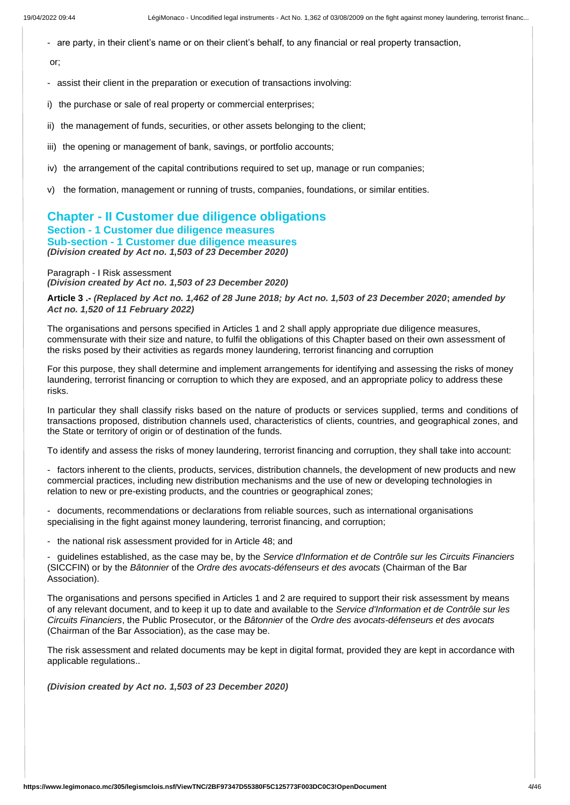- are party, in their client's name or on their client's behalf, to any financial or real property transaction,

or;

- assist their client in the preparation or execution of transactions involving:
- i) the purchase or sale of real property or commercial enterprises;
- ii) the management of funds, securities, or other assets belonging to the client;
- iii) the opening or management of bank, savings, or portfolio accounts;
- iv) the arrangement of the capital contributions required to set up, manage or run companies;
- the formation, management or running of trusts, companies, foundations, or similar entities.

# **Chapter - II Customer due diligence obligations Section - 1 Customer due diligence measures Sub-section - 1 Customer due diligence measures** *(Division created by Act no. 1,503 of 23 December 2020)*

Paragraph - I Risk assessment *(Division created by Act no. 1,503 of 23 December 2020)*

**Article 3 .-** *(Replaced by Act no. 1,462 of 28 June 2018; by Act no. 1,503 of 23 December 2020***;** *amended by Act no. 1,520 of 11 February 2022)*

The organisations and persons specified in Articles 1 and 2 shall apply appropriate due diligence measures, commensurate with their size and nature, to fulfil the obligations of this Chapter based on their own assessment of the risks posed by their activities as regards money laundering, terrorist financing and corruption

For this purpose, they shall determine and implement arrangements for identifying and assessing the risks of money laundering, terrorist financing or corruption to which they are exposed, and an appropriate policy to address these risks.

In particular they shall classify risks based on the nature of products or services supplied, terms and conditions of transactions proposed, distribution channels used, characteristics of clients, countries, and geographical zones, and the State or territory of origin or of destination of the funds.

To identify and assess the risks of money laundering, terrorist financing and corruption, they shall take into account:

- factors inherent to the clients, products, services, distribution channels, the development of new products and new commercial practices, including new distribution mechanisms and the use of new or developing technologies in relation to new or pre-existing products, and the countries or geographical zones;

- documents, recommendations or declarations from reliable sources, such as international organisations specialising in the fight against money laundering, terrorist financing, and corruption;

- the national risk assessment provided for in Article 48; and

- guidelines established, as the case may be, by the *Service d'Information et de Contrôle sur les Circuits Financiers* (SICCFIN) or by the *Bâtonnier* of the *Ordre des avocats-défenseurs et des avocats* (Chairman of the Bar Association).

The organisations and persons specified in Articles 1 and 2 are required to support their risk assessment by means of any relevant document, and to keep it up to date and available to the *Service d'Information et de Contrôle sur les Circuits Financiers*, the Public Prosecutor, or the *Bâtonnier* of the *Ordre des avocats-défenseurs et des avocats* (Chairman of the Bar Association), as the case may be.

The risk assessment and related documents may be kept in digital format, provided they are kept in accordance with applicable regulations..

*(Division created by Act no. 1,503 of 23 December 2020)*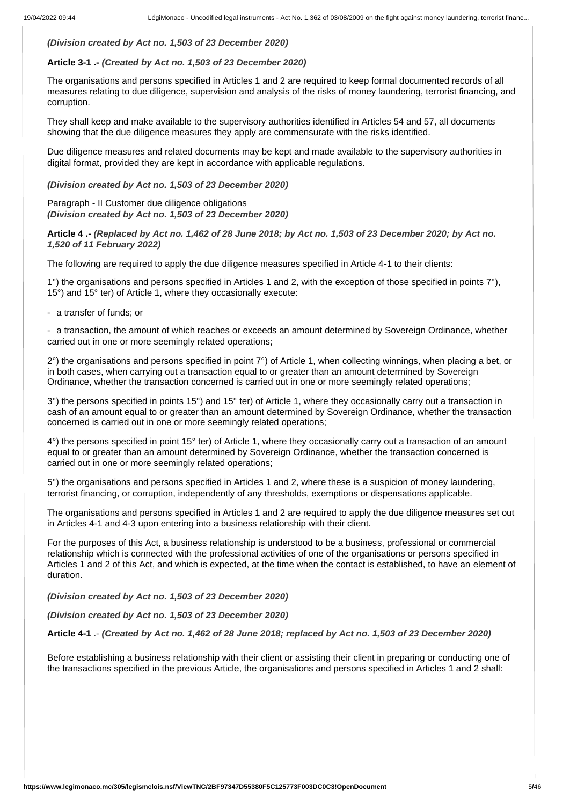## *(Division created by Act no. 1,503 of 23 December 2020)*

# **Article 3-1 .-** *(Created by Act no. 1,503 of 23 December 2020)*

The organisations and persons specified in Articles 1 and 2 are required to keep formal documented records of all measures relating to due diligence, supervision and analysis of the risks of money laundering, terrorist financing, and corruption.

They shall keep and make available to the supervisory authorities identified in Articles 54 and 57, all documents showing that the due diligence measures they apply are commensurate with the risks identified.

Due diligence measures and related documents may be kept and made available to the supervisory authorities in digital format, provided they are kept in accordance with applicable regulations.

*(Division created by Act no. 1,503 of 23 December 2020)*

Paragraph - II Customer due diligence obligations *(Division created by Act no. 1,503 of 23 December 2020)*

**Article 4 .-** *(Replaced by Act no. 1,462 of 28 June 2018; by Act no. 1,503 of 23 December 2020; by Act no. 1,520 of 11 February 2022)*

The following are required to apply the due diligence measures specified in Article 4-1 to their clients:

1°) the organisations and persons specified in Articles 1 and 2, with the exception of those specified in points 7°), 15°) and 15° ter) of Article 1, where they occasionally execute:

- a transfer of funds; or

- a transaction, the amount of which reaches or exceeds an amount determined by Sovereign Ordinance, whether carried out in one or more seemingly related operations;

2°) the organisations and persons specified in point 7°) of Article 1, when collecting winnings, when placing a bet, or in both cases, when carrying out a transaction equal to or greater than an amount determined by Sovereign Ordinance, whether the transaction concerned is carried out in one or more seemingly related operations;

3°) the persons specified in points 15°) and 15° ter) of Article 1, where they occasionally carry out a transaction in cash of an amount equal to or greater than an amount determined by Sovereign Ordinance, whether the transaction concerned is carried out in one or more seemingly related operations;

4°) the persons specified in point 15° ter) of Article 1, where they occasionally carry out a transaction of an amount equal to or greater than an amount determined by Sovereign Ordinance, whether the transaction concerned is carried out in one or more seemingly related operations;

5°) the organisations and persons specified in Articles 1 and 2, where these is a suspicion of money laundering, terrorist financing, or corruption, independently of any thresholds, exemptions or dispensations applicable.

The organisations and persons specified in Articles 1 and 2 are required to apply the due diligence measures set out in Articles 4-1 and 4-3 upon entering into a business relationship with their client.

For the purposes of this Act, a business relationship is understood to be a business, professional or commercial relationship which is connected with the professional activities of one of the organisations or persons specified in Articles 1 and 2 of this Act, and which is expected, at the time when the contact is established, to have an element of duration.

*(Division created by Act no. 1,503 of 23 December 2020)*

*(Division created by Act no. 1,503 of 23 December 2020)*

**Article 4-1** .- *(Created by Act no. 1,462 of 28 June 2018; replaced by Act no. 1,503 of 23 December 2020)*

Before establishing a business relationship with their client or assisting their client in preparing or conducting one of the transactions specified in the previous Article, the organisations and persons specified in Articles 1 and 2 shall: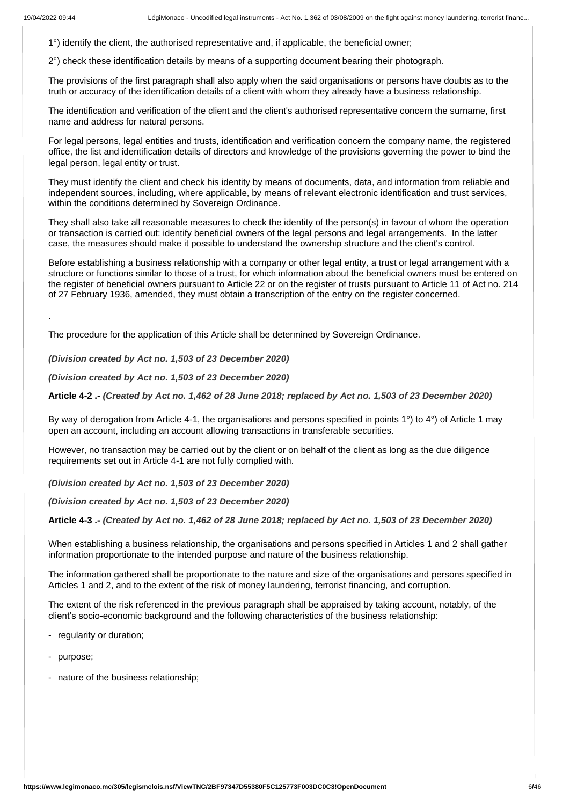.

1°) identify the client, the authorised representative and, if applicable, the beneficial owner;

2°) check these identification details by means of a supporting document bearing their photograph.

The provisions of the first paragraph shall also apply when the said organisations or persons have doubts as to the truth or accuracy of the identification details of a client with whom they already have a business relationship.

The identification and verification of the client and the client's authorised representative concern the surname, first name and address for natural persons.

For legal persons, legal entities and trusts, identification and verification concern the company name, the registered office, the list and identification details of directors and knowledge of the provisions governing the power to bind the legal person, legal entity or trust.

They must identify the client and check his identity by means of documents, data, and information from reliable and independent sources, including, where applicable, by means of relevant electronic identification and trust services, within the conditions determined by Sovereign Ordinance.

They shall also take all reasonable measures to check the identity of the person(s) in favour of whom the operation or transaction is carried out: identify beneficial owners of the legal persons and legal arrangements. In the latter case, the measures should make it possible to understand the ownership structure and the client's control.

Before establishing a business relationship with a company or other legal entity, a trust or legal arrangement with a structure or functions similar to those of a trust, for which information about the beneficial owners must be entered on the register of beneficial owners pursuant to Article 22 or on the register of trusts pursuant to Article 11 of Act no. 214 of 27 February 1936, amended, they must obtain a transcription of the entry on the register concerned.

The procedure for the application of this Article shall be determined by Sovereign Ordinance.

*(Division created by Act no. 1,503 of 23 December 2020)*

*(Division created by Act no. 1,503 of 23 December 2020)*

**Article 4-2 .-** *(Created by Act no. 1,462 of 28 June 2018; replaced by Act no. 1,503 of 23 December 2020)*

By way of derogation from Article 4-1, the organisations and persons specified in points 1°) to 4°) of Article 1 may open an account, including an account allowing transactions in transferable securities.

However, no transaction may be carried out by the client or on behalf of the client as long as the due diligence requirements set out in Article 4-1 are not fully complied with.

*(Division created by Act no. 1,503 of 23 December 2020)*

*(Division created by Act no. 1,503 of 23 December 2020)*

**Article 4-3 .-** *(Created by Act no. 1,462 of 28 June 2018; replaced by Act no. 1,503 of 23 December 2020)*

When establishing a business relationship, the organisations and persons specified in Articles 1 and 2 shall gather information proportionate to the intended purpose and nature of the business relationship.

The information gathered shall be proportionate to the nature and size of the organisations and persons specified in Articles 1 and 2, and to the extent of the risk of money laundering, terrorist financing, and corruption.

The extent of the risk referenced in the previous paragraph shall be appraised by taking account, notably, of the client's socio-economic background and the following characteristics of the business relationship:

- regularity or duration;
- purpose;
- nature of the business relationship;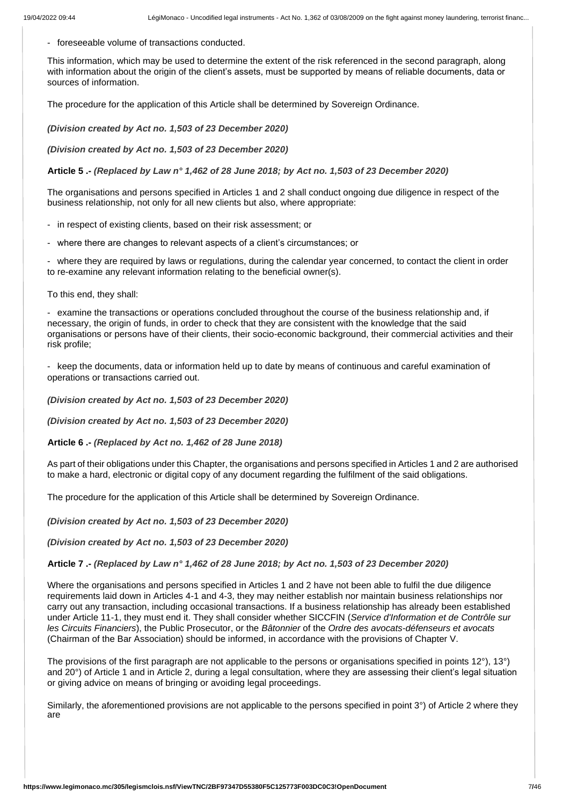- foreseeable volume of transactions conducted.

This information, which may be used to determine the extent of the risk referenced in the second paragraph, along with information about the origin of the client's assets, must be supported by means of reliable documents, data or sources of information.

The procedure for the application of this Article shall be determined by Sovereign Ordinance.

*(Division created by Act no. 1,503 of 23 December 2020)*

*(Division created by Act no. 1,503 of 23 December 2020)*

**Article 5 .-** *(Replaced by Law n° 1,462 of 28 June 2018; by Act no. 1,503 of 23 December 2020)*

The organisations and persons specified in Articles 1 and 2 shall conduct ongoing due diligence in respect of the business relationship, not only for all new clients but also, where appropriate:

- in respect of existing clients, based on their risk assessment; or
- where there are changes to relevant aspects of a client's circumstances; or

- where they are required by laws or regulations, during the calendar year concerned, to contact the client in order to re-examine any relevant information relating to the beneficial owner(s).

To this end, they shall:

- examine the transactions or operations concluded throughout the course of the business relationship and, if necessary, the origin of funds, in order to check that they are consistent with the knowledge that the said organisations or persons have of their clients, their socio-economic background, their commercial activities and their risk profile;

- keep the documents, data or information held up to date by means of continuous and careful examination of operations or transactions carried out.

*(Division created by Act no. 1,503 of 23 December 2020)*

*(Division created by Act no. 1,503 of 23 December 2020)*

**Article 6 .-** *(Replaced by Act no. 1,462 of 28 June 2018)*

As part of their obligations under this Chapter, the organisations and persons specified in Articles 1 and 2 are authorised to make a hard, electronic or digital copy of any document regarding the fulfilment of the said obligations.

The procedure for the application of this Article shall be determined by Sovereign Ordinance.

*(Division created by Act no. 1,503 of 23 December 2020)*

*(Division created by Act no. 1,503 of 23 December 2020)*

**Article 7 .-** *(Replaced by Law n° 1,462 of 28 June 2018; by Act no. 1,503 of 23 December 2020)*

Where the organisations and persons specified in Articles 1 and 2 have not been able to fulfil the due diligence requirements laid down in Articles 4-1 and 4-3, they may neither establish nor maintain business relationships nor carry out any transaction, including occasional transactions. If a business relationship has already been established under Article 11-1, they must end it. They shall consider whether SICCFIN (*Service d'Information et de Contrôle sur les Circuits Financiers*), the Public Prosecutor, or the *Bâtonnier* of the *Ordre des avocats-défenseurs et avocats* (Chairman of the Bar Association) should be informed, in accordance with the provisions of Chapter V.

The provisions of the first paragraph are not applicable to the persons or organisations specified in points 12°), 13°) and 20°) of Article 1 and in Article 2, during a legal consultation, where they are assessing their client's legal situation or giving advice on means of bringing or avoiding legal proceedings.

Similarly, the aforementioned provisions are not applicable to the persons specified in point 3°) of Article 2 where they are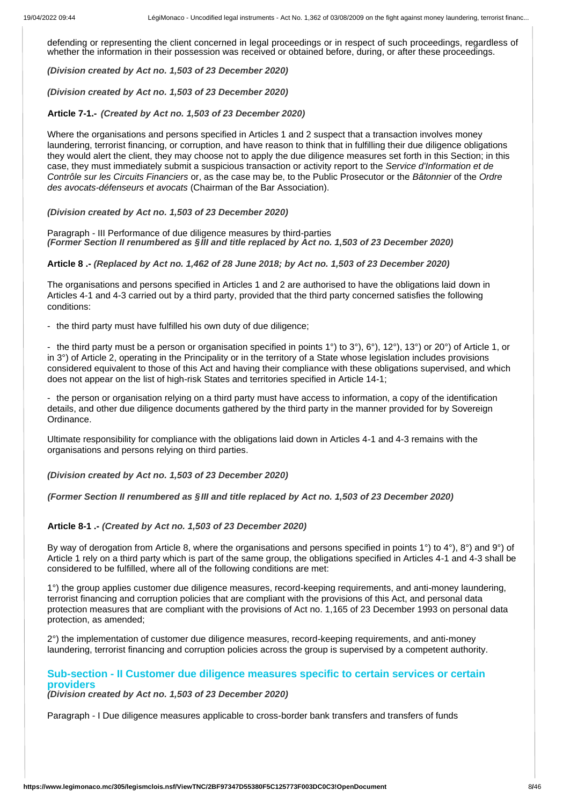defending or representing the client concerned in legal proceedings or in respect of such proceedings, regardless of whether the information in their possession was received or obtained before, during, or after these proceedings.

*(Division created by Act no. 1,503 of 23 December 2020)*

*(Division created by Act no. 1,503 of 23 December 2020)*

**Article 7-1.-** *(Created by Act no. 1,503 of 23 December 2020)*

Where the organisations and persons specified in Articles 1 and 2 suspect that a transaction involves money laundering, terrorist financing, or corruption, and have reason to think that in fulfilling their due diligence obligations they would alert the client, they may choose not to apply the due diligence measures set forth in this Section; in this case, they must immediately submit a suspicious transaction or activity report to the *Service d'Information et de Contrôle sur les Circuits Financiers* or, as the case may be, to the Public Prosecutor or the *Bâtonnier* of the *Ordre des avocats-défenseurs et avocats* (Chairman of the Bar Association).

#### *(Division created by Act no. 1,503 of 23 December 2020)*

Paragraph - III Performance of due diligence measures by third-parties *(Former Section II renumbered as §III and title replaced by Act no. 1,503 of 23 December 2020)*

#### **Article 8 .-** *(Replaced by Act no. 1,462 of 28 June 2018; by Act no. 1,503 of 23 December 2020)*

The organisations and persons specified in Articles 1 and 2 are authorised to have the obligations laid down in Articles 4-1 and 4-3 carried out by a third party, provided that the third party concerned satisfies the following conditions:

- the third party must have fulfilled his own duty of due diligence;

- the third party must be a person or organisation specified in points 1°) to 3°), 6°), 12°), 13°) or 20°) of Article 1, or in 3°) of Article 2, operating in the Principality or in the territory of a State whose legislation includes provisions considered equivalent to those of this Act and having their compliance with these obligations supervised, and which does not appear on the list of high-risk States and territories specified in Article 14-1;

- the person or organisation relying on a third party must have access to information, a copy of the identification details, and other due diligence documents gathered by the third party in the manner provided for by Sovereign Ordinance.

Ultimate responsibility for compliance with the obligations laid down in Articles 4-1 and 4-3 remains with the organisations and persons relying on third parties.

#### *(Division created by Act no. 1,503 of 23 December 2020)*

# *(Former Section II renumbered as §III and title replaced by Act no. 1,503 of 23 December 2020)*

#### **Article 8-1 .-** *(Created by Act no. 1,503 of 23 December 2020)*

By way of derogation from Article 8, where the organisations and persons specified in points 1°) to 4°), 8°) and 9°) of Article 1 rely on a third party which is part of the same group, the obligations specified in Articles 4-1 and 4-3 shall be considered to be fulfilled, where all of the following conditions are met:

1°) the group applies customer due diligence measures, record-keeping requirements, and anti-money laundering, terrorist financing and corruption policies that are compliant with the provisions of this Act, and personal data protection measures that are compliant with the provisions of Act no. 1,165 of 23 December 1993 on personal data protection, as amended;

2°) the implementation of customer due diligence measures, record-keeping requirements, and anti-money laundering, terrorist financing and corruption policies across the group is supervised by a competent authority.

# **Sub-section - II Customer due diligence measures specific to certain services or certain providers**

*(Division created by Act no. 1,503 of 23 December 2020)*

Paragraph - I Due diligence measures applicable to cross-border bank transfers and transfers of funds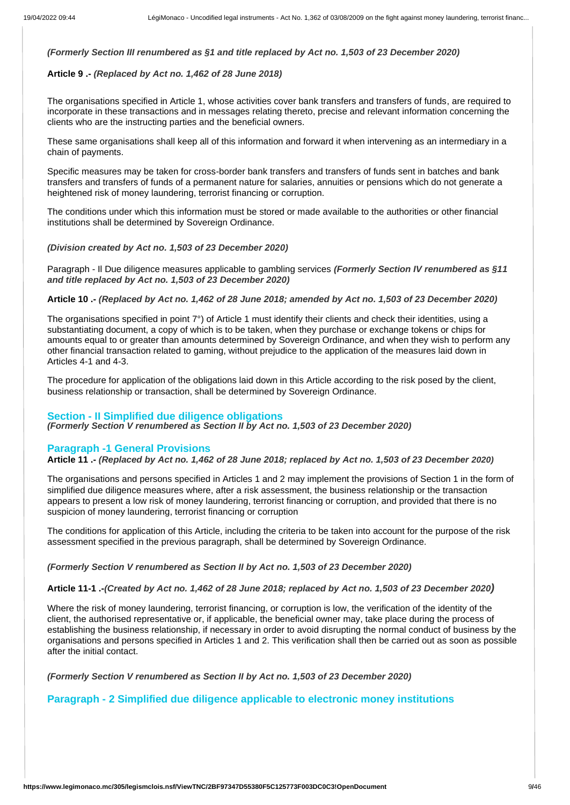# *(Formerly Section III renumbered as §1 and title replaced by Act no. 1,503 of 23 December 2020)*

# **Article 9 .-** *(Replaced by Act no. 1,462 of 28 June 2018)*

The organisations specified in Article 1, whose activities cover bank transfers and transfers of funds, are required to incorporate in these transactions and in messages relating thereto, precise and relevant information concerning the clients who are the instructing parties and the beneficial owners.

These same organisations shall keep all of this information and forward it when intervening as an intermediary in a chain of payments.

Specific measures may be taken for cross-border bank transfers and transfers of funds sent in batches and bank transfers and transfers of funds of a permanent nature for salaries, annuities or pensions which do not generate a heightened risk of money laundering, terrorist financing or corruption.

The conditions under which this information must be stored or made available to the authorities or other financial institutions shall be determined by Sovereign Ordinance.

#### *(Division created by Act no. 1,503 of 23 December 2020)*

Paragraph - Il Due diligence measures applicable to gambling services *(Formerly Section IV renumbered as §11 and title replaced by Act no. 1,503 of 23 December 2020)*

**Article 10 .-** *(Replaced by Act no. 1,462 of 28 June 2018; amended by Act no. 1,503 of 23 December 2020)*

The organisations specified in point 7°) of Article 1 must identify their clients and check their identities, using a substantiating document, a copy of which is to be taken, when they purchase or exchange tokens or chips for amounts equal to or greater than amounts determined by Sovereign Ordinance, and when they wish to perform any other financial transaction related to gaming, without prejudice to the application of the measures laid down in Articles 4-1 and 4-3.

The procedure for application of the obligations laid down in this Article according to the risk posed by the client, business relationship or transaction, shall be determined by Sovereign Ordinance.

# **Section - II Simplified due diligence obligations**

*(Formerly Section V renumbered as Section II by Act no. 1,503 of 23 December 2020)*

# **Paragraph -1 General Provisions**

**Article 11 .-** *(Replaced by Act no. 1,462 of 28 June 2018; replaced by Act no. 1,503 of 23 December 2020)*

The organisations and persons specified in Articles 1 and 2 may implement the provisions of Section 1 in the form of simplified due diligence measures where, after a risk assessment, the business relationship or the transaction appears to present a low risk of money laundering, terrorist financing or corruption, and provided that there is no suspicion of money laundering, terrorist financing or corruption

The conditions for application of this Article, including the criteria to be taken into account for the purpose of the risk assessment specified in the previous paragraph, shall be determined by Sovereign Ordinance.

*(Formerly Section V renumbered as Section II by Act no. 1,503 of 23 December 2020)*

#### **Article 11-1 .-***(Created by Act no. 1,462 of 28 June 2018; replaced by Act no. 1,503 of 23 December 2020)*

Where the risk of money laundering, terrorist financing, or corruption is low, the verification of the identity of the client, the authorised representative or, if applicable, the beneficial owner may, take place during the process of establishing the business relationship, if necessary in order to avoid disrupting the normal conduct of business by the organisations and persons specified in Articles 1 and 2. This verification shall then be carried out as soon as possible after the initial contact.

*(Formerly Section V renumbered as Section II by Act no. 1,503 of 23 December 2020)*

# **Paragraph - 2 Simplified due diligence applicable to electronic money institutions**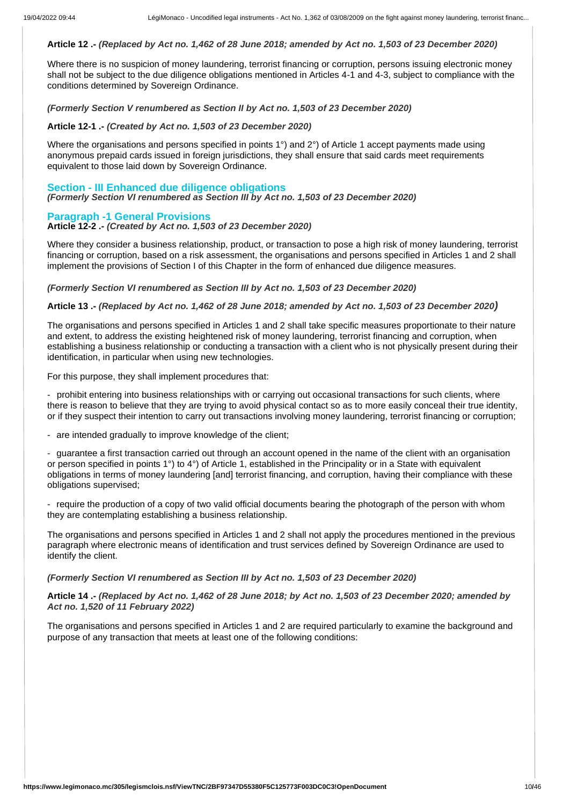#### **Article 12 .-** *(Replaced by Act no. 1,462 of 28 June 2018; amended by Act no. 1,503 of 23 December 2020)*

Where there is no suspicion of money laundering, terrorist financing or corruption, persons issuing electronic money shall not be subject to the due diligence obligations mentioned in Articles 4-1 and 4-3, subject to compliance with the conditions determined by Sovereign Ordinance.

*(Formerly Section V renumbered as Section II by Act no. 1,503 of 23 December 2020)*

#### **Article 12-1 .-** *(Created by Act no. 1,503 of 23 December 2020)*

Where the organisations and persons specified in points 1<sup>°</sup>) and 2<sup>°</sup>) of Article 1 accept payments made using anonymous prepaid cards issued in foreign jurisdictions, they shall ensure that said cards meet requirements equivalent to those laid down by Sovereign Ordinance.

## **Section - III Enhanced due diligence obligations** *(Formerly Section VI renumbered as Section III by Act no. 1,503 of 23 December 2020)*

**Paragraph -1 General Provisions Article 12-2 .-** *(Created by Act no. 1,503 of 23 December 2020)*

Where they consider a business relationship, product, or transaction to pose a high risk of money laundering, terrorist financing or corruption, based on a risk assessment, the organisations and persons specified in Articles 1 and 2 shall implement the provisions of Section I of this Chapter in the form of enhanced due diligence measures.

*(Formerly Section VI renumbered as Section III by Act no. 1,503 of 23 December 2020)*

**Article 13 .-** *(Replaced by Act no. 1,462 of 28 June 2018; amended by Act no. 1,503 of 23 December 2020)*

The organisations and persons specified in Articles 1 and 2 shall take specific measures proportionate to their nature and extent, to address the existing heightened risk of money laundering, terrorist financing and corruption, when establishing a business relationship or conducting a transaction with a client who is not physically present during their identification, in particular when using new technologies.

For this purpose, they shall implement procedures that:

- prohibit entering into business relationships with or carrying out occasional transactions for such clients, where there is reason to believe that they are trying to avoid physical contact so as to more easily conceal their true identity, or if they suspect their intention to carry out transactions involving money laundering, terrorist financing or corruption;

- are intended gradually to improve knowledge of the client;

- guarantee a first transaction carried out through an account opened in the name of the client with an organisation or person specified in points 1°) to 4°) of Article 1, established in the Principality or in a State with equivalent obligations in terms of money laundering [and] terrorist financing, and corruption, having their compliance with these obligations supervised;

- require the production of a copy of two valid official documents bearing the photograph of the person with whom they are contemplating establishing a business relationship.

The organisations and persons specified in Articles 1 and 2 shall not apply the procedures mentioned in the previous paragraph where electronic means of identification and trust services defined by Sovereign Ordinance are used to identify the client.

#### *(Formerly Section VI renumbered as Section III by Act no. 1,503 of 23 December 2020)*

**Article 14 .-** *(Replaced by Act no. 1,462 of 28 June 2018; by Act no. 1,503 of 23 December 2020; amended by Act no. 1,520 of 11 February 2022)*

The organisations and persons specified in Articles 1 and 2 are required particularly to examine the background and purpose of any transaction that meets at least one of the following conditions: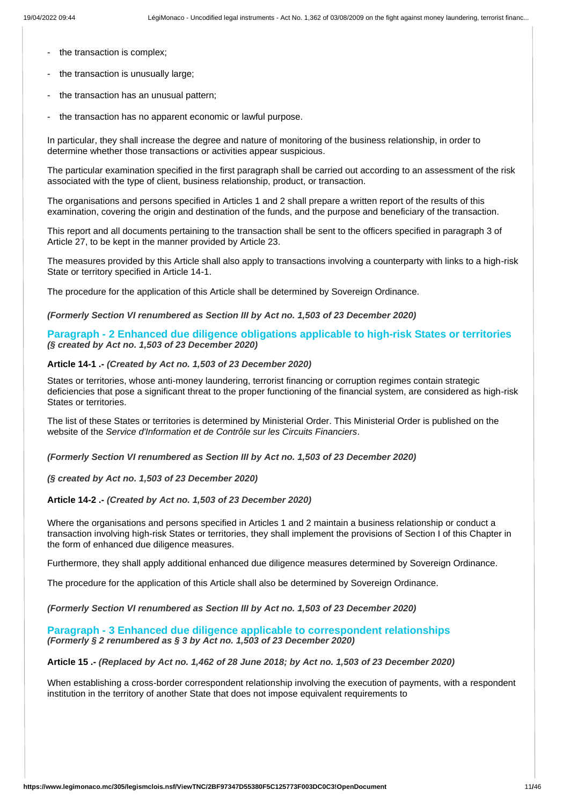- the transaction is complex;
- the transaction is unusually large;
- the transaction has an unusual pattern;
- the transaction has no apparent economic or lawful purpose.

In particular, they shall increase the degree and nature of monitoring of the business relationship, in order to determine whether those transactions or activities appear suspicious.

The particular examination specified in the first paragraph shall be carried out according to an assessment of the risk associated with the type of client, business relationship, product, or transaction.

The organisations and persons specified in Articles 1 and 2 shall prepare a written report of the results of this examination, covering the origin and destination of the funds, and the purpose and beneficiary of the transaction.

This report and all documents pertaining to the transaction shall be sent to the officers specified in paragraph 3 of Article 27, to be kept in the manner provided by Article 23.

The measures provided by this Article shall also apply to transactions involving a counterparty with links to a high-risk State or territory specified in Article 14-1.

The procedure for the application of this Article shall be determined by Sovereign Ordinance.

#### *(Formerly Section VI renumbered as Section III by Act no. 1,503 of 23 December 2020)*

**Paragraph - 2 Enhanced due diligence obligations applicable to high-risk States or territories** *(§ created by Act no. 1,503 of 23 December 2020)*

## **Article 14-1 .-** *(Created by Act no. 1,503 of 23 December 2020)*

States or territories, whose anti-money laundering, terrorist financing or corruption regimes contain strategic deficiencies that pose a significant threat to the proper functioning of the financial system, are considered as high-risk States or territories.

The list of these States or territories is determined by Ministerial Order. This Ministerial Order is published on the website of the *Service d'Information et de Contrôle sur les Circuits Financiers*.

*(Formerly Section VI renumbered as Section III by Act no. 1,503 of 23 December 2020)*

*(§ created by Act no. 1,503 of 23 December 2020)*

#### **Article 14-2 .-** *(Created by Act no. 1,503 of 23 December 2020)*

Where the organisations and persons specified in Articles 1 and 2 maintain a business relationship or conduct a transaction involving high-risk States or territories, they shall implement the provisions of Section I of this Chapter in the form of enhanced due diligence measures.

Furthermore, they shall apply additional enhanced due diligence measures determined by Sovereign Ordinance.

The procedure for the application of this Article shall also be determined by Sovereign Ordinance.

*(Formerly Section VI renumbered as Section III by Act no. 1,503 of 23 December 2020)*

#### **Paragraph - 3 Enhanced due diligence applicable to correspondent relationships** *(Formerly § 2 renumbered as § 3 by Act no. 1,503 of 23 December 2020)*

#### **Article 15 .-** *(Replaced by Act no. 1,462 of 28 June 2018; by Act no. 1,503 of 23 December 2020)*

When establishing a cross-border correspondent relationship involving the execution of payments, with a respondent institution in the territory of another State that does not impose equivalent requirements to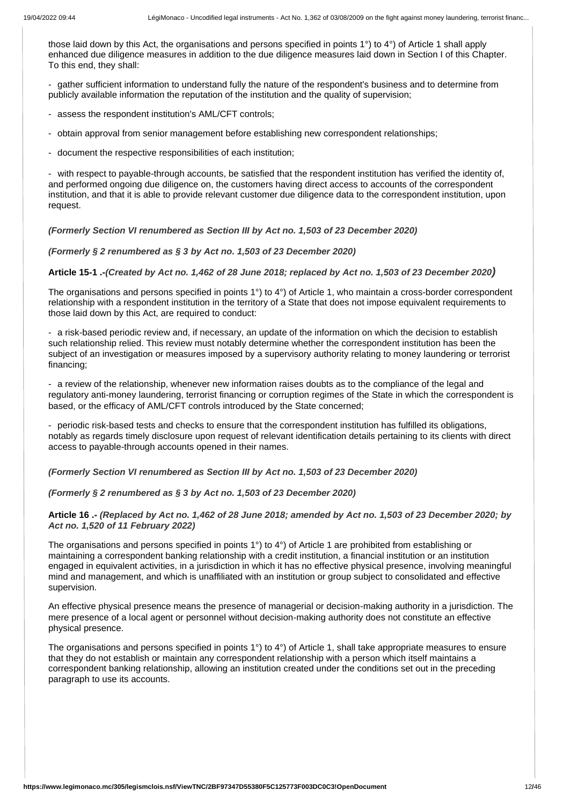those laid down by this Act, the organisations and persons specified in points 1°) to 4°) of Article 1 shall apply enhanced due diligence measures in addition to the due diligence measures laid down in Section I of this Chapter. To this end, they shall:

- gather sufficient information to understand fully the nature of the respondent's business and to determine from publicly available information the reputation of the institution and the quality of supervision;

- assess the respondent institution's AML/CFT controls;
- obtain approval from senior management before establishing new correspondent relationships;
- document the respective responsibilities of each institution;

- with respect to payable-through accounts, be satisfied that the respondent institution has verified the identity of, and performed ongoing due diligence on, the customers having direct access to accounts of the correspondent institution, and that it is able to provide relevant customer due diligence data to the correspondent institution, upon request.

*(Formerly Section VI renumbered as Section III by Act no. 1,503 of 23 December 2020)*

*(Formerly § 2 renumbered as § 3 by Act no. 1,503 of 23 December 2020)*

**Article 15-1 .-***(Created by Act no. 1,462 of 28 June 2018; replaced by Act no. 1,503 of 23 December 2020)*

The organisations and persons specified in points 1°) to 4°) of Article 1, who maintain a cross-border correspondent relationship with a respondent institution in the territory of a State that does not impose equivalent requirements to those laid down by this Act, are required to conduct:

a risk-based periodic review and, if necessary, an update of the information on which the decision to establish such relationship relied. This review must notably determine whether the correspondent institution has been the subject of an investigation or measures imposed by a supervisory authority relating to money laundering or terrorist financing;

- a review of the relationship, whenever new information raises doubts as to the compliance of the legal and regulatory anti-money laundering, terrorist financing or corruption regimes of the State in which the correspondent is based, or the efficacy of AML/CFT controls introduced by the State concerned;

- periodic risk-based tests and checks to ensure that the correspondent institution has fulfilled its obligations, notably as regards timely disclosure upon request of relevant identification details pertaining to its clients with direct access to payable-through accounts opened in their names.

*(Formerly Section VI renumbered as Section III by Act no. 1,503 of 23 December 2020)*

*(Formerly § 2 renumbered as § 3 by Act no. 1,503 of 23 December 2020)*

**Article 16 .-** *(Replaced by Act no. 1,462 of 28 June 2018; amended by Act no. 1,503 of 23 December 2020; by Act no. 1,520 of 11 February 2022)*

The organisations and persons specified in points 1°) to 4°) of Article 1 are prohibited from establishing or maintaining a correspondent banking relationship with a credit institution, a financial institution or an institution engaged in equivalent activities, in a jurisdiction in which it has no effective physical presence, involving meaningful mind and management, and which is unaffiliated with an institution or group subject to consolidated and effective supervision.

An effective physical presence means the presence of managerial or decision-making authority in a jurisdiction. The mere presence of a local agent or personnel without decision-making authority does not constitute an effective physical presence.

The organisations and persons specified in points 1°) to 4°) of Article 1, shall take appropriate measures to ensure that they do not establish or maintain any correspondent relationship with a person which itself maintains a correspondent banking relationship, allowing an institution created under the conditions set out in the preceding paragraph to use its accounts.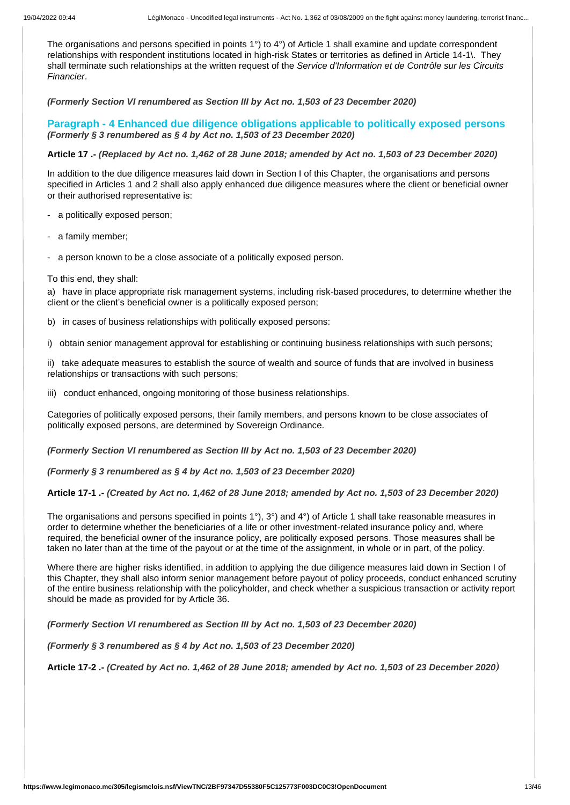The organisations and persons specified in points 1°) to 4°) of Article 1 shall examine and update correspondent relationships with respondent institutions located in high-risk States or territories as defined in Article 14-1\. They shall terminate such relationships at the written request of the *Service d'Information et de Contrôle sur les Circuits Financier*.

*(Formerly Section VI renumbered as Section III by Act no. 1,503 of 23 December 2020)*

**Paragraph - 4 Enhanced due diligence obligations applicable to politically exposed persons** *(Formerly § 3 renumbered as § 4 by Act no. 1,503 of 23 December 2020)*

**Article 17 .-** *(Replaced by Act no. 1,462 of 28 June 2018; amended by Act no. 1,503 of 23 December 2020)*

In addition to the due diligence measures laid down in Section I of this Chapter, the organisations and persons specified in Articles 1 and 2 shall also apply enhanced due diligence measures where the client or beneficial owner or their authorised representative is:

- a politically exposed person;

- a family member;

- a person known to be a close associate of a politically exposed person.

#### To this end, they shall:

a) have in place appropriate risk management systems, including risk-based procedures, to determine whether the client or the client's beneficial owner is a politically exposed person;

b) in cases of business relationships with politically exposed persons:

i) obtain senior management approval for establishing or continuing business relationships with such persons;

ii) take adequate measures to establish the source of wealth and source of funds that are involved in business relationships or transactions with such persons;

iii) conduct enhanced, ongoing monitoring of those business relationships.

Categories of politically exposed persons, their family members, and persons known to be close associates of politically exposed persons, are determined by Sovereign Ordinance.

*(Formerly Section VI renumbered as Section III by Act no. 1,503 of 23 December 2020)*

*(Formerly § 3 renumbered as § 4 by Act no. 1,503 of 23 December 2020)*

**Article 17-1 .-** *(Created by Act no. 1,462 of 28 June 2018; amended by Act no. 1,503 of 23 December 2020)*

The organisations and persons specified in points 1°), 3°) and 4°) of Article 1 shall take reasonable measures in order to determine whether the beneficiaries of a life or other investment-related insurance policy and, where required, the beneficial owner of the insurance policy, are politically exposed persons. Those measures shall be taken no later than at the time of the payout or at the time of the assignment, in whole or in part, of the policy.

Where there are higher risks identified, in addition to applying the due diligence measures laid down in Section I of this Chapter, they shall also inform senior management before payout of policy proceeds, conduct enhanced scrutiny of the entire business relationship with the policyholder, and check whether a suspicious transaction or activity report should be made as provided for by Article 36.

*(Formerly Section VI renumbered as Section III by Act no. 1,503 of 23 December 2020)*

*(Formerly § 3 renumbered as § 4 by Act no. 1,503 of 23 December 2020)*

**Article 17-2 .-** *(Created by Act no. 1,462 of 28 June 2018; amended by Act no. 1,503 of 23 December 2020)*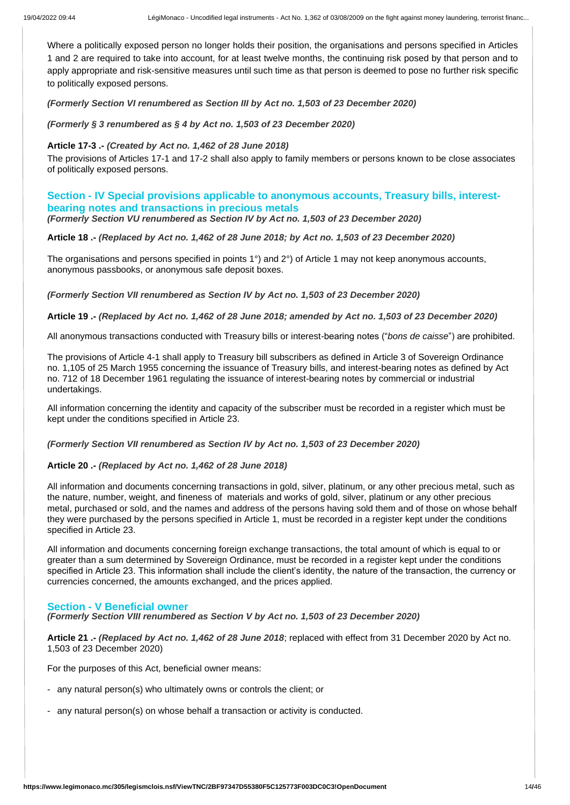Where a politically exposed person no longer holds their position, the organisations and persons specified in Articles 1 and 2 are required to take into account, for at least twelve months, the continuing risk posed by that person and to apply appropriate and risk-sensitive measures until such time as that person is deemed to pose no further risk specific to politically exposed persons.

*(Formerly Section VI renumbered as Section III by Act no. 1,503 of 23 December 2020)*

*(Formerly § 3 renumbered as § 4 by Act no. 1,503 of 23 December 2020)*

# **Article 17-3 .-** *(Created by Act no. 1,462 of 28 June 2018)*

The provisions of Articles 17-1 and 17-2 shall also apply to family members or persons known to be close associates of politically exposed persons.

# **Section - IV Special provisions applicable to anonymous accounts, Treasury bills, interestbearing notes and transactions in precious metals**

*(Formerly Section VU renumbered as Section IV by Act no. 1,503 of 23 December 2020)*

**Article 18 .-** *(Replaced by Act no. 1,462 of 28 June 2018; by Act no. 1,503 of 23 December 2020)*

The organisations and persons specified in points 1°) and 2°) of Article 1 may not keep anonymous accounts, anonymous passbooks, or anonymous safe deposit boxes.

*(Formerly Section VII renumbered as Section IV by Act no. 1,503 of 23 December 2020)*

#### **Article 19 .-** *(Replaced by Act no. 1,462 of 28 June 2018; amended by Act no. 1,503 of 23 December 2020)*

All anonymous transactions conducted with Treasury bills or interest-bearing notes ("*bons de caisse*") are prohibited.

The provisions of Article 4-1 shall apply to Treasury bill subscribers as defined in Article 3 of Sovereign Ordinance no. 1,105 of 25 March 1955 concerning the issuance of Treasury bills, and interest-bearing notes as defined by Act no. 712 of 18 December 1961 regulating the issuance of interest-bearing notes by commercial or industrial undertakings.

All information concerning the identity and capacity of the subscriber must be recorded in a register which must be kept under the conditions specified in Article 23.

*(Formerly Section VII renumbered as Section IV by Act no. 1,503 of 23 December 2020)*

# **Article 20 .-** *(Replaced by Act no. 1,462 of 28 June 2018)*

All information and documents concerning transactions in gold, silver, platinum, or any other precious metal, such as the nature, number, weight, and fineness of materials and works of gold, silver, platinum or any other precious metal, purchased or sold, and the names and address of the persons having sold them and of those on whose behalf they were purchased by the persons specified in Article 1, must be recorded in a register kept under the conditions specified in Article 23.

All information and documents concerning foreign exchange transactions, the total amount of which is equal to or greater than a sum determined by Sovereign Ordinance, must be recorded in a register kept under the conditions specified in Article 23. This information shall include the client's identity, the nature of the transaction, the currency or currencies concerned, the amounts exchanged, and the prices applied.

#### **Section - V Beneficial owner**

*(Formerly Section VIII renumbered as Section V by Act no. 1,503 of 23 December 2020)*

**Article 21 .-** *(Replaced by Act no. 1,462 of 28 June 2018*; replaced with effect from 31 December 2020 by Act no. 1,503 of 23 December 2020)

For the purposes of this Act, beneficial owner means:

- any natural person(s) who ultimately owns or controls the client; or
- any natural person(s) on whose behalf a transaction or activity is conducted.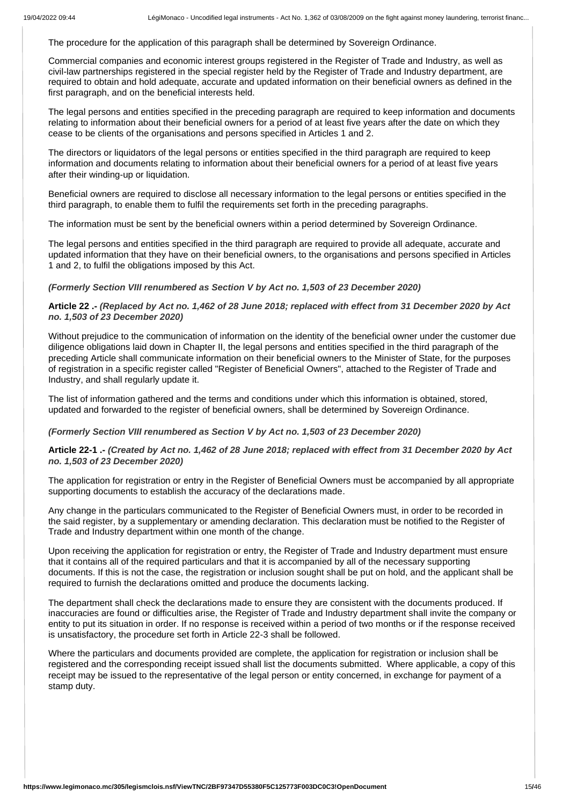The procedure for the application of this paragraph shall be determined by Sovereign Ordinance.

Commercial companies and economic interest groups registered in the Register of Trade and Industry, as well as civil-law partnerships registered in the special register held by the Register of Trade and Industry department, are required to obtain and hold adequate, accurate and updated information on their beneficial owners as defined in the first paragraph, and on the beneficial interests held.

The legal persons and entities specified in the preceding paragraph are required to keep information and documents relating to information about their beneficial owners for a period of at least five years after the date on which they cease to be clients of the organisations and persons specified in Articles 1 and 2.

The directors or liquidators of the legal persons or entities specified in the third paragraph are required to keep information and documents relating to information about their beneficial owners for a period of at least five years after their winding-up or liquidation.

Beneficial owners are required to disclose all necessary information to the legal persons or entities specified in the third paragraph, to enable them to fulfil the requirements set forth in the preceding paragraphs.

The information must be sent by the beneficial owners within a period determined by Sovereign Ordinance.

The legal persons and entities specified in the third paragraph are required to provide all adequate, accurate and updated information that they have on their beneficial owners, to the organisations and persons specified in Articles 1 and 2, to fulfil the obligations imposed by this Act.

*(Formerly Section VIII renumbered as Section V by Act no. 1,503 of 23 December 2020)*

**Article 22 .-** *(Replaced by Act no. 1,462 of 28 June 2018; replaced with effect from 31 December 2020 by Act no. 1,503 of 23 December 2020)*

Without prejudice to the communication of information on the identity of the beneficial owner under the customer due diligence obligations laid down in Chapter II, the legal persons and entities specified in the third paragraph of the preceding Article shall communicate information on their beneficial owners to the Minister of State, for the purposes of registration in a specific register called "Register of Beneficial Owners", attached to the Register of Trade and Industry, and shall regularly update it.

The list of information gathered and the terms and conditions under which this information is obtained, stored, updated and forwarded to the register of beneficial owners, shall be determined by Sovereign Ordinance.

# *(Formerly Section VIII renumbered as Section V by Act no. 1,503 of 23 December 2020)*

**Article 22-1 .-** *(Created by Act no. 1,462 of 28 June 2018; replaced with effect from 31 December 2020 by Act no. 1,503 of 23 December 2020)*

The application for registration or entry in the Register of Beneficial Owners must be accompanied by all appropriate supporting documents to establish the accuracy of the declarations made.

Any change in the particulars communicated to the Register of Beneficial Owners must, in order to be recorded in the said register, by a supplementary or amending declaration. This declaration must be notified to the Register of Trade and Industry department within one month of the change.

Upon receiving the application for registration or entry, the Register of Trade and Industry department must ensure that it contains all of the required particulars and that it is accompanied by all of the necessary supporting documents. If this is not the case, the registration or inclusion sought shall be put on hold, and the applicant shall be required to furnish the declarations omitted and produce the documents lacking.

The department shall check the declarations made to ensure they are consistent with the documents produced. If inaccuracies are found or difficulties arise, the Register of Trade and Industry department shall invite the company or entity to put its situation in order. If no response is received within a period of two months or if the response received is unsatisfactory, the procedure set forth in Article 22-3 shall be followed.

Where the particulars and documents provided are complete, the application for registration or inclusion shall be registered and the corresponding receipt issued shall list the documents submitted. Where applicable, a copy of this receipt may be issued to the representative of the legal person or entity concerned, in exchange for payment of a stamp duty.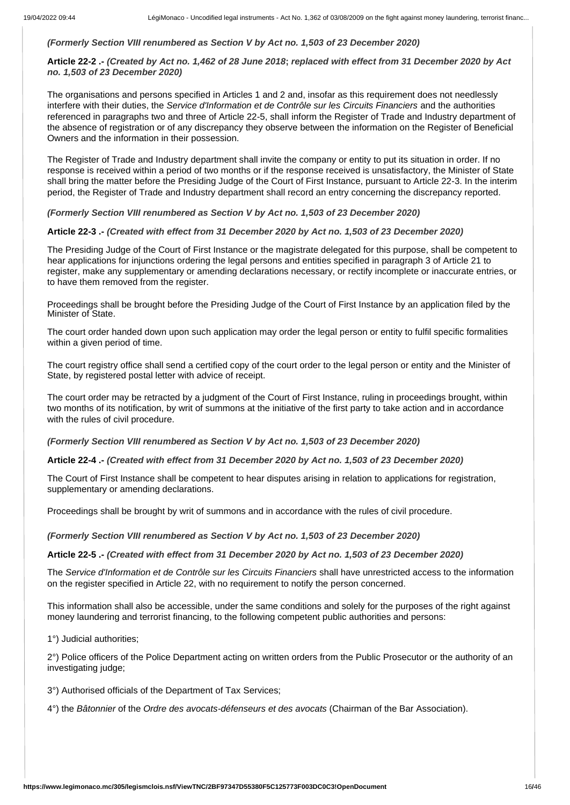# *(Formerly Section VIII renumbered as Section V by Act no. 1,503 of 23 December 2020)*

# **Article 22-2 .-** *(Created by Act no. 1,462 of 28 June 2018***;** *replaced with effect from 31 December 2020 by Act no. 1,503 of 23 December 2020)*

The organisations and persons specified in Articles 1 and 2 and, insofar as this requirement does not needlessly interfere with their duties, the *Service d'Information et de Contrôle sur les Circuits Financiers* and the authorities referenced in paragraphs two and three of Article 22-5, shall inform the Register of Trade and Industry department of the absence of registration or of any discrepancy they observe between the information on the Register of Beneficial Owners and the information in their possession.

The Register of Trade and Industry department shall invite the company or entity to put its situation in order. If no response is received within a period of two months or if the response received is unsatisfactory, the Minister of State shall bring the matter before the Presiding Judge of the Court of First Instance, pursuant to Article 22-3. In the interim period, the Register of Trade and Industry department shall record an entry concerning the discrepancy reported.

# *(Formerly Section VIII renumbered as Section V by Act no. 1,503 of 23 December 2020)*

# **Article 22-3 .-** *(Created with effect from 31 December 2020 by Act no. 1,503 of 23 December 2020)*

The Presiding Judge of the Court of First Instance or the magistrate delegated for this purpose, shall be competent to hear applications for injunctions ordering the legal persons and entities specified in paragraph 3 of Article 21 to register, make any supplementary or amending declarations necessary, or rectify incomplete or inaccurate entries, or to have them removed from the register.

Proceedings shall be brought before the Presiding Judge of the Court of First Instance by an application filed by the Minister of State.

The court order handed down upon such application may order the legal person or entity to fulfil specific formalities within a given period of time.

The court registry office shall send a certified copy of the court order to the legal person or entity and the Minister of State, by registered postal letter with advice of receipt.

The court order may be retracted by a judgment of the Court of First Instance, ruling in proceedings brought, within two months of its notification, by writ of summons at the initiative of the first party to take action and in accordance with the rules of civil procedure.

*(Formerly Section VIII renumbered as Section V by Act no. 1,503 of 23 December 2020)*

#### **Article 22-4 .-** *(Created with effect from 31 December 2020 by Act no. 1,503 of 23 December 2020)*

The Court of First Instance shall be competent to hear disputes arising in relation to applications for registration, supplementary or amending declarations.

Proceedings shall be brought by writ of summons and in accordance with the rules of civil procedure.

*(Formerly Section VIII renumbered as Section V by Act no. 1,503 of 23 December 2020)*

#### **Article 22-5 .-** *(Created with effect from 31 December 2020 by Act no. 1,503 of 23 December 2020)*

The *Service d'Information et de Contrôle sur les Circuits Financiers* shall have unrestricted access to the information on the register specified in Article 22, with no requirement to notify the person concerned.

This information shall also be accessible, under the same conditions and solely for the purposes of the right against money laundering and terrorist financing, to the following competent public authorities and persons:

1°) Judicial authorities;

2°) Police officers of the Police Department acting on written orders from the Public Prosecutor or the authority of an investigating judge;

3°) Authorised officials of the Department of Tax Services;

4°) the *Bâtonnier* of the *Ordre des avocats-défenseurs et des avocats* (Chairman of the Bar Association).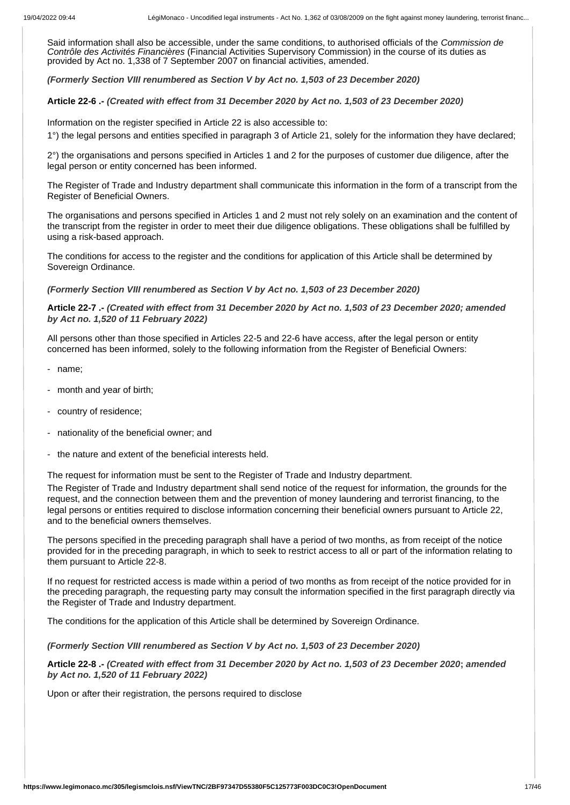Said information shall also be accessible, under the same conditions, to authorised officials of the *Commission de Contrôle des Activités Financières* (Financial Activities Supervisory Commission) in the course of its duties as provided by Act no. 1,338 of 7 September 2007 on financial activities, amended.

*(Formerly Section VIII renumbered as Section V by Act no. 1,503 of 23 December 2020)*

#### **Article 22-6 .-** *(Created with effect from 31 December 2020 by Act no. 1,503 of 23 December 2020)*

Information on the register specified in Article 22 is also accessible to:

1°) the legal persons and entities specified in paragraph 3 of Article 21, solely for the information they have declared;

2°) the organisations and persons specified in Articles 1 and 2 for the purposes of customer due diligence, after the legal person or entity concerned has been informed.

The Register of Trade and Industry department shall communicate this information in the form of a transcript from the Register of Beneficial Owners.

The organisations and persons specified in Articles 1 and 2 must not rely solely on an examination and the content of the transcript from the register in order to meet their due diligence obligations. These obligations shall be fulfilled by using a risk-based approach.

The conditions for access to the register and the conditions for application of this Article shall be determined by Sovereign Ordinance.

*(Formerly Section VIII renumbered as Section V by Act no. 1,503 of 23 December 2020)*

# **Article 22-7 .-** *(Created with effect from 31 December 2020 by Act no. 1,503 of 23 December 2020; amended by Act no. 1,520 of 11 February 2022)*

All persons other than those specified in Articles 22-5 and 22-6 have access, after the legal person or entity concerned has been informed, solely to the following information from the Register of Beneficial Owners:

- name;
- month and year of birth;
- country of residence;
- nationality of the beneficial owner; and
- the nature and extent of the beneficial interests held.

The request for information must be sent to the Register of Trade and Industry department.

The Register of Trade and Industry department shall send notice of the request for information, the grounds for the request, and the connection between them and the prevention of money laundering and terrorist financing, to the legal persons or entities required to disclose information concerning their beneficial owners pursuant to Article 22, and to the beneficial owners themselves.

The persons specified in the preceding paragraph shall have a period of two months, as from receipt of the notice provided for in the preceding paragraph, in which to seek to restrict access to all or part of the information relating to them pursuant to Article 22-8.

If no request for restricted access is made within a period of two months as from receipt of the notice provided for in the preceding paragraph, the requesting party may consult the information specified in the first paragraph directly via the Register of Trade and Industry department.

The conditions for the application of this Article shall be determined by Sovereign Ordinance.

*(Formerly Section VIII renumbered as Section V by Act no. 1,503 of 23 December 2020)*

**Article 22-8 .-** *(Created with effect from 31 December 2020 by Act no. 1,503 of 23 December 2020***;** *amended by Act no. 1,520 of 11 February 2022)*

Upon or after their registration, the persons required to disclose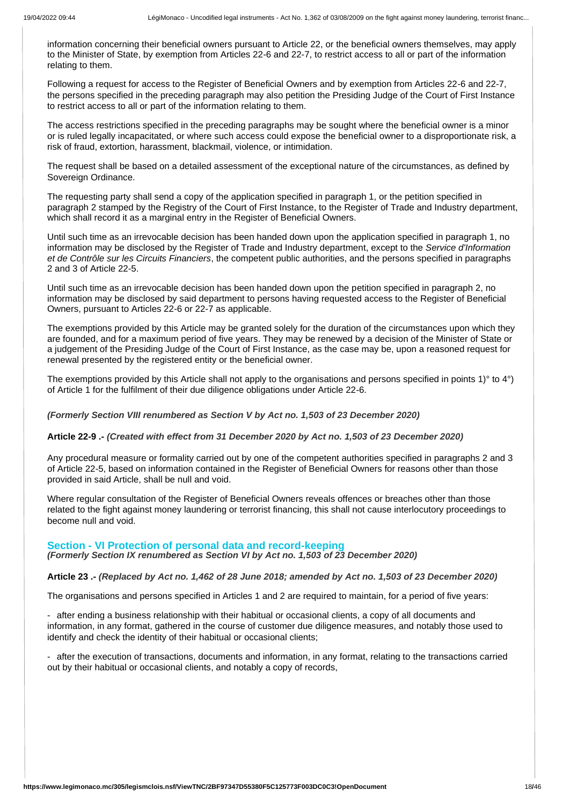information concerning their beneficial owners pursuant to Article 22, or the beneficial owners themselves, may apply to the Minister of State, by exemption from Articles 22-6 and 22-7, to restrict access to all or part of the information relating to them.

Following a request for access to the Register of Beneficial Owners and by exemption from Articles 22-6 and 22-7, the persons specified in the preceding paragraph may also petition the Presiding Judge of the Court of First Instance to restrict access to all or part of the information relating to them.

The access restrictions specified in the preceding paragraphs may be sought where the beneficial owner is a minor or is ruled legally incapacitated, or where such access could expose the beneficial owner to a disproportionate risk, a risk of fraud, extortion, harassment, blackmail, violence, or intimidation.

The request shall be based on a detailed assessment of the exceptional nature of the circumstances, as defined by Sovereign Ordinance.

The requesting party shall send a copy of the application specified in paragraph 1, or the petition specified in paragraph 2 stamped by the Registry of the Court of First Instance, to the Register of Trade and Industry department, which shall record it as a marginal entry in the Register of Beneficial Owners.

Until such time as an irrevocable decision has been handed down upon the application specified in paragraph 1, no information may be disclosed by the Register of Trade and Industry department, except to the *Service d'Information et de Contrôle sur les Circuits Financiers*, the competent public authorities, and the persons specified in paragraphs 2 and 3 of Article 22-5.

Until such time as an irrevocable decision has been handed down upon the petition specified in paragraph 2, no information may be disclosed by said department to persons having requested access to the Register of Beneficial Owners, pursuant to Articles 22-6 or 22-7 as applicable.

The exemptions provided by this Article may be granted solely for the duration of the circumstances upon which they are founded, and for a maximum period of five years. They may be renewed by a decision of the Minister of State or a judgement of the Presiding Judge of the Court of First Instance, as the case may be, upon a reasoned request for renewal presented by the registered entity or the beneficial owner.

The exemptions provided by this Article shall not apply to the organisations and persons specified in points 1)° to 4°) of Article 1 for the fulfilment of their due diligence obligations under Article 22-6.

*(Formerly Section VIII renumbered as Section V by Act no. 1,503 of 23 December 2020)*

#### **Article 22-9 .-** *(Created with effect from 31 December 2020 by Act no. 1,503 of 23 December 2020)*

Any procedural measure or formality carried out by one of the competent authorities specified in paragraphs 2 and 3 of Article 22-5, based on information contained in the Register of Beneficial Owners for reasons other than those provided in said Article, shall be null and void.

Where regular consultation of the Register of Beneficial Owners reveals offences or breaches other than those related to the fight against money laundering or terrorist financing, this shall not cause interlocutory proceedings to become null and void.

#### **Section - VI Protection of personal data and record-keeping**

*(Formerly Section IX renumbered as Section VI by Act no. 1,503 of 23 December 2020)*

**Article 23 .-** *(Replaced by Act no. 1,462 of 28 June 2018; amended by Act no. 1,503 of 23 December 2020)*

The organisations and persons specified in Articles 1 and 2 are required to maintain, for a period of five years:

- after ending a business relationship with their habitual or occasional clients, a copy of all documents and information, in any format, gathered in the course of customer due diligence measures, and notably those used to identify and check the identity of their habitual or occasional clients;

- after the execution of transactions, documents and information, in any format, relating to the transactions carried out by their habitual or occasional clients, and notably a copy of records,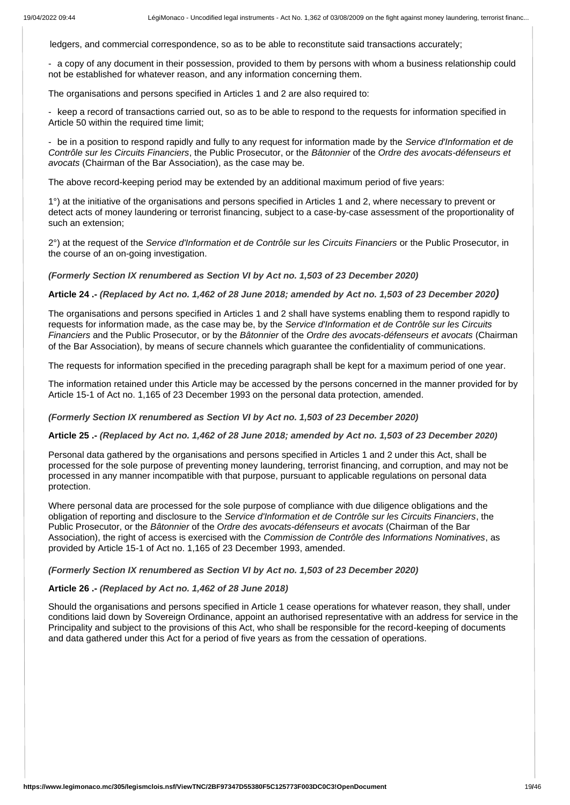ledgers, and commercial correspondence, so as to be able to reconstitute said transactions accurately;

- a copy of any document in their possession, provided to them by persons with whom a business relationship could not be established for whatever reason, and any information concerning them.

The organisations and persons specified in Articles 1 and 2 are also required to:

- keep a record of transactions carried out, so as to be able to respond to the requests for information specified in Article 50 within the required time limit;

- be in a position to respond rapidly and fully to any request for information made by the *Service d'Information et de Contrôle sur les Circuits Financiers*, the Public Prosecutor, or the *Bâtonnier* of the *Ordre des avocats-défenseurs et avocats* (Chairman of the Bar Association), as the case may be.

The above record-keeping period may be extended by an additional maximum period of five years:

1°) at the initiative of the organisations and persons specified in Articles 1 and 2, where necessary to prevent or detect acts of money laundering or terrorist financing, subject to a case-by-case assessment of the proportionality of such an extension;

2°) at the request of the *Service d'Information et de Contrôle sur les Circuits Financiers* or the Public Prosecutor, in the course of an on-going investigation.

*(Formerly Section IX renumbered as Section VI by Act no. 1,503 of 23 December 2020)*

**Article 24 .-** *(Replaced by Act no. 1,462 of 28 June 2018; amended by Act no. 1,503 of 23 December 2020)*

The organisations and persons specified in Articles 1 and 2 shall have systems enabling them to respond rapidly to requests for information made, as the case may be, by the *Service d'Information et de Contrôle sur les Circuits Financiers* and the Public Prosecutor, or by the *Bâtonnier* of the *Ordre des avocats-défenseurs et avocats* (Chairman of the Bar Association), by means of secure channels which guarantee the confidentiality of communications.

The requests for information specified in the preceding paragraph shall be kept for a maximum period of one year.

The information retained under this Article may be accessed by the persons concerned in the manner provided for by Article 15-1 of Act no. 1,165 of 23 December 1993 on the personal data protection, amended.

#### *(Formerly Section IX renumbered as Section VI by Act no. 1,503 of 23 December 2020)*

# **Article 25 .-** *(Replaced by Act no. 1,462 of 28 June 2018; amended by Act no. 1,503 of 23 December 2020)*

Personal data gathered by the organisations and persons specified in Articles 1 and 2 under this Act, shall be processed for the sole purpose of preventing money laundering, terrorist financing, and corruption, and may not be processed in any manner incompatible with that purpose, pursuant to applicable regulations on personal data protection.

Where personal data are processed for the sole purpose of compliance with due diligence obligations and the obligation of reporting and disclosure to the *Service d'Information et de Contrôle sur les Circuits Financiers*, the Public Prosecutor, or the *Bâtonnier* of the *Ordre des avocats-défenseurs et avocats* (Chairman of the Bar Association), the right of access is exercised with the *Commission de Contrôle des Informations Nominatives*, as provided by Article 15-1 of Act no. 1,165 of 23 December 1993, amended.

*(Formerly Section IX renumbered as Section VI by Act no. 1,503 of 23 December 2020)*

## **Article 26 .-** *(Replaced by Act no. 1,462 of 28 June 2018)*

Should the organisations and persons specified in Article 1 cease operations for whatever reason, they shall, under conditions laid down by Sovereign Ordinance, appoint an authorised representative with an address for service in the Principality and subject to the provisions of this Act, who shall be responsible for the record-keeping of documents and data gathered under this Act for a period of five years as from the cessation of operations.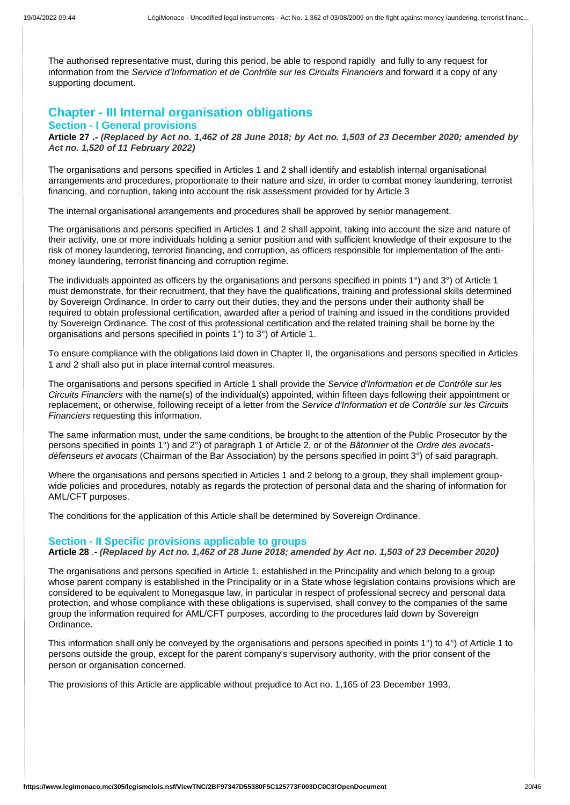The authorised representative must, during this period, be able to respond rapidly and fully to any request for information from the *Service d'Information et de Contrôle sur les Circuits Financiers* and forward it a copy of any supporting document.

# **Chapter - III Internal organisation obligations Section - I General provisions**

**Article 27 .-** *(Replaced by Act no. 1,462 of 28 June 2018; by Act no. 1,503 of 23 December 2020; amended by Act no. 1,520 of 11 February 2022)*

The organisations and persons specified in Articles 1 and 2 shall identify and establish internal organisational arrangements and procedures, proportionate to their nature and size, in order to combat money laundering, terrorist financing, and corruption, taking into account the risk assessment provided for by Article 3

The internal organisational arrangements and procedures shall be approved by senior management.

The organisations and persons specified in Articles 1 and 2 shall appoint, taking into account the size and nature of their activity, one or more individuals holding a senior position and with sufficient knowledge of their exposure to the risk of money laundering, terrorist financing, and corruption, as officers responsible for implementation of the antimoney laundering, terrorist financing and corruption regime.

The individuals appointed as officers by the organisations and persons specified in points 1°) and 3°) of Article 1 must demonstrate, for their recruitment, that they have the qualifications, training and professional skills determined by Sovereign Ordinance. In order to carry out their duties, they and the persons under their authority shall be required to obtain professional certification, awarded after a period of training and issued in the conditions provided by Sovereign Ordinance. The cost of this professional certification and the related training shall be borne by the organisations and persons specified in points 1°) to 3°) of Article 1.

To ensure compliance with the obligations laid down in Chapter II, the organisations and persons specified in Articles 1 and 2 shall also put in place internal control measures.

The organisations and persons specified in Article 1 shall provide the *Service d'Information et de Contrôle sur les Circuits Financiers* with the name(s) of the individual(s) appointed, within fifteen days following their appointment or replacement, or otherwise, following receipt of a letter from the *Service d'Information et de Contrôle sur les Circuits Financiers* requesting this information.

The same information must, under the same conditions, be brought to the attention of the Public Prosecutor by the persons specified in points 1°) and 2°) of paragraph 1 of Article 2, or of the *Bâtonnier* of the *Ordre des avocatsdéfenseurs et avocats* (Chairman of the Bar Association) by the persons specified in point 3°) of said paragraph.

Where the organisations and persons specified in Articles 1 and 2 belong to a group, they shall implement groupwide policies and procedures, notably as regards the protection of personal data and the sharing of information for AML/CFT purposes.

The conditions for the application of this Article shall be determined by Sovereign Ordinance.

#### **Section - II Specific provisions applicable to groups**

**Article 28** .- *(Replaced by Act no. 1,462 of 28 June 2018; amended by Act no. 1,503 of 23 December 2020)*

The organisations and persons specified in Article 1, established in the Principality and which belong to a group whose parent company is established in the Principality or in a State whose legislation contains provisions which are considered to be equivalent to Monegasque law, in particular in respect of professional secrecy and personal data protection, and whose compliance with these obligations is supervised, shall convey to the companies of the same group the information required for AML/CFT purposes, according to the procedures laid down by Sovereign Ordinance.

This information shall only be conveyed by the organisations and persons specified in points 1°) to 4°) of Article 1 to persons outside the group, except for the parent company's supervisory authority, with the prior consent of the person or organisation concerned.

The provisions of this Article are applicable without prejudice to Act no. 1,165 of 23 December 1993,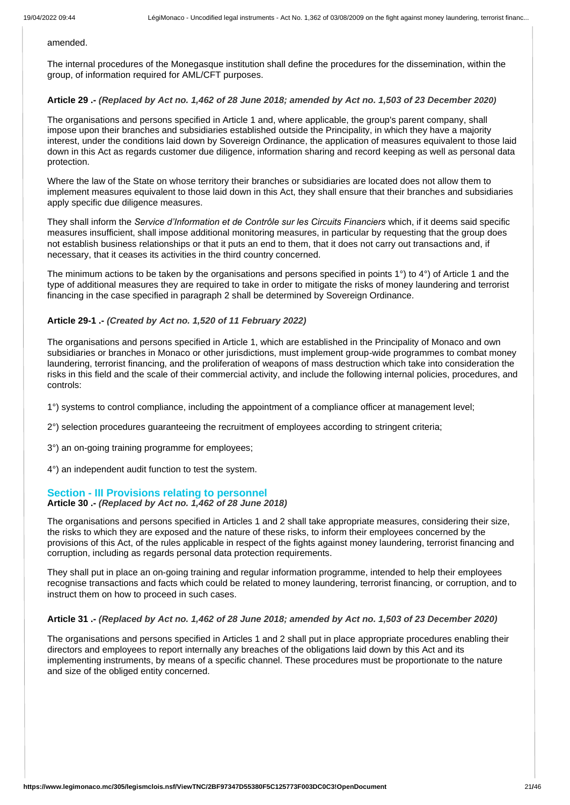#### amended.

The internal procedures of the Monegasque institution shall define the procedures for the dissemination, within the group, of information required for AML/CFT purposes.

#### **Article 29 .-** *(Replaced by Act no. 1,462 of 28 June 2018; amended by Act no. 1,503 of 23 December 2020)*

The organisations and persons specified in Article 1 and, where applicable, the group's parent company, shall impose upon their branches and subsidiaries established outside the Principality, in which they have a majority interest, under the conditions laid down by Sovereign Ordinance, the application of measures equivalent to those laid down in this Act as regards customer due diligence, information sharing and record keeping as well as personal data protection.

Where the law of the State on whose territory their branches or subsidiaries are located does not allow them to implement measures equivalent to those laid down in this Act, they shall ensure that their branches and subsidiaries apply specific due diligence measures.

They shall inform the *Service d'Information et de Contrôle sur les Circuits Financiers* which, if it deems said specific measures insufficient, shall impose additional monitoring measures, in particular by requesting that the group does not establish business relationships or that it puts an end to them, that it does not carry out transactions and, if necessary, that it ceases its activities in the third country concerned.

The minimum actions to be taken by the organisations and persons specified in points 1°) to 4°) of Article 1 and the type of additional measures they are required to take in order to mitigate the risks of money laundering and terrorist financing in the case specified in paragraph 2 shall be determined by Sovereign Ordinance.

#### **Article 29-1 .-** *(Created by Act no. 1,520 of 11 February 2022)*

The organisations and persons specified in Article 1, which are established in the Principality of Monaco and own subsidiaries or branches in Monaco or other jurisdictions, must implement group-wide programmes to combat money laundering, terrorist financing, and the proliferation of weapons of mass destruction which take into consideration the risks in this field and the scale of their commercial activity, and include the following internal policies, procedures, and controls:

1°) systems to control compliance, including the appointment of a compliance officer at management level;

2°) selection procedures guaranteeing the recruitment of employees according to stringent criteria;

3°) an on-going training programme for employees;

4°) an independent audit function to test the system.

#### **Section - III Provisions relating to personnel**

#### **Article 30 .-** *(Replaced by Act no. 1,462 of 28 June 2018)*

The organisations and persons specified in Articles 1 and 2 shall take appropriate measures, considering their size, the risks to which they are exposed and the nature of these risks, to inform their employees concerned by the provisions of this Act, of the rules applicable in respect of the fights against money laundering, terrorist financing and corruption, including as regards personal data protection requirements.

They shall put in place an on-going training and regular information programme, intended to help their employees recognise transactions and facts which could be related to money laundering, terrorist financing, or corruption, and to instruct them on how to proceed in such cases.

#### **Article 31 .-** *(Replaced by Act no. 1,462 of 28 June 2018; amended by Act no. 1,503 of 23 December 2020)*

The organisations and persons specified in Articles 1 and 2 shall put in place appropriate procedures enabling their directors and employees to report internally any breaches of the obligations laid down by this Act and its implementing instruments, by means of a specific channel. These procedures must be proportionate to the nature and size of the obliged entity concerned.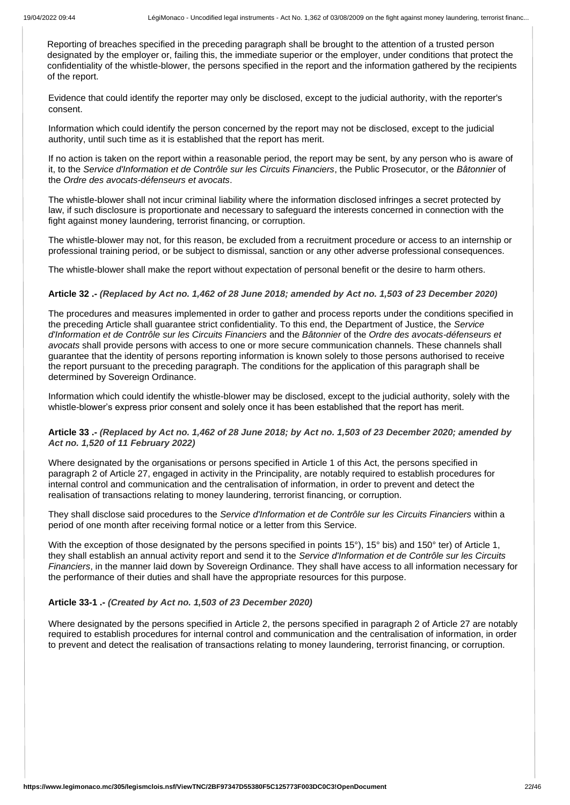Reporting of breaches specified in the preceding paragraph shall be brought to the attention of a trusted person designated by the employer or, failing this, the immediate superior or the employer, under conditions that protect the confidentiality of the whistle-blower, the persons specified in the report and the information gathered by the recipients of the report.

Evidence that could identify the reporter may only be disclosed, except to the judicial authority, with the reporter's consent.

Information which could identify the person concerned by the report may not be disclosed, except to the judicial authority, until such time as it is established that the report has merit.

If no action is taken on the report within a reasonable period, the report may be sent, by any person who is aware of it, to the *Service d'Information et de Contrôle sur les Circuits Financiers*, the Public Prosecutor, or the *Bâtonnier* of the *Ordre des avocats-défenseurs et avocats*.

The whistle-blower shall not incur criminal liability where the information disclosed infringes a secret protected by law, if such disclosure is proportionate and necessary to safeguard the interests concerned in connection with the fight against money laundering, terrorist financing, or corruption.

The whistle-blower may not, for this reason, be excluded from a recruitment procedure or access to an internship or professional training period, or be subject to dismissal, sanction or any other adverse professional consequences.

The whistle-blower shall make the report without expectation of personal benefit or the desire to harm others.

#### **Article 32 .-** *(Replaced by Act no. 1,462 of 28 June 2018; amended by Act no. 1,503 of 23 December 2020)*

The procedures and measures implemented in order to gather and process reports under the conditions specified in the preceding Article shall guarantee strict confidentiality. To this end, the Department of Justice, the *Service d'Information et de Contrôle sur les Circuits Financiers* and the *Bâtonnier* of the *Ordre des avocats-défenseurs et avocats* shall provide persons with access to one or more secure communication channels. These channels shall guarantee that the identity of persons reporting information is known solely to those persons authorised to receive the report pursuant to the preceding paragraph. The conditions for the application of this paragraph shall be determined by Sovereign Ordinance.

Information which could identify the whistle-blower may be disclosed, except to the judicial authority, solely with the whistle-blower's express prior consent and solely once it has been established that the report has merit.

# **Article 33 .-** *(Replaced by Act no. 1,462 of 28 June 2018; by Act no. 1,503 of 23 December 2020; amended by Act no. 1,520 of 11 February 2022)*

Where designated by the organisations or persons specified in Article 1 of this Act, the persons specified in paragraph 2 of Article 27, engaged in activity in the Principality, are notably required to establish procedures for internal control and communication and the centralisation of information, in order to prevent and detect the realisation of transactions relating to money laundering, terrorist financing, or corruption.

They shall disclose said procedures to the *Service d'Information et de Contrôle sur les Circuits Financiers* within a period of one month after receiving formal notice or a letter from this Service.

With the exception of those designated by the persons specified in points 15<sup>°</sup>), 15<sup>°</sup> bis) and 150<sup>°</sup> ter) of Article 1, they shall establish an annual activity report and send it to the *Service d'Information et de Contrôle sur les Circuits Financiers*, in the manner laid down by Sovereign Ordinance. They shall have access to all information necessary for the performance of their duties and shall have the appropriate resources for this purpose.

# **Article 33-1 .-** *(Created by Act no. 1,503 of 23 December 2020)*

Where designated by the persons specified in Article 2, the persons specified in paragraph 2 of Article 27 are notably required to establish procedures for internal control and communication and the centralisation of information, in order to prevent and detect the realisation of transactions relating to money laundering, terrorist financing, or corruption.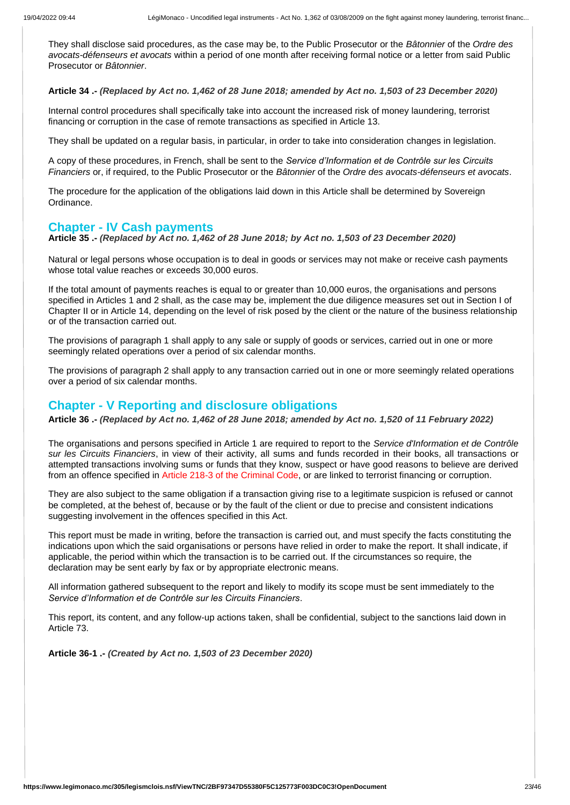They shall disclose said procedures, as the case may be, to the Public Prosecutor or the *Bâtonnier* of the *Ordre des avocats-défenseurs et avocats* within a period of one month after receiving formal notice or a letter from said Public Prosecutor or *Bâtonnier*.

**Article 34 .-** *(Replaced by Act no. 1,462 of 28 June 2018; amended by Act no. 1,503 of 23 December 2020)*

Internal control procedures shall specifically take into account the increased risk of money laundering, terrorist financing or corruption in the case of remote transactions as specified in Article 13.

They shall be updated on a regular basis, in particular, in order to take into consideration changes in legislation.

A copy of these procedures, in French, shall be sent to the *Service d'Information et de Contrôle sur les Circuits Financiers* or, if required, to the Public Prosecutor or the *Bâtonnier* of the *Ordre des avocats-défenseurs et avocats*.

The procedure for the application of the obligations laid down in this Article shall be determined by Sovereign Ordinance.

# **Chapter - IV Cash payments**

**Article 35 .-** *(Replaced by Act no. 1,462 of 28 June 2018; by Act no. 1,503 of 23 December 2020)*

Natural or legal persons whose occupation is to deal in goods or services may not make or receive cash payments whose total value reaches or exceeds 30,000 euros.

If the total amount of payments reaches is equal to or greater than 10,000 euros, the organisations and persons specified in Articles 1 and 2 shall, as the case may be, implement the due diligence measures set out in Section I of Chapter II or in Article 14, depending on the level of risk posed by the client or the nature of the business relationship or of the transaction carried out.

The provisions of paragraph 1 shall apply to any sale or supply of goods or services, carried out in one or more seemingly related operations over a period of six calendar months.

The provisions of paragraph 2 shall apply to any transaction carried out in one or more seemingly related operations over a period of six calendar months.

# **Chapter - V Reporting and disclosure obligations**

**Article 36 .-** *(Replaced by Act no. 1,462 of 28 June 2018; amended by Act no. 1,520 of 11 February 2022)*

The organisations and persons specified in Article 1 are required to report to the *Service d'Information et de Contrôle sur les Circuits Financiers*, in view of their activity, all sums and funds recorded in their books, all transactions or attempted transactions involving sums or funds that they know, suspect or have good reasons to believe are derived from an offence specified in Article 218-3 of the Criminal Code, or are linked to terrorist financing or corruption.

They are also subject to the same obligation if a transaction giving rise to a legitimate suspicion is refused or cannot be completed, at the behest of, because or by the fault of the client or due to precise and consistent indications suggesting involvement in the offences specified in this Act.

This report must be made in writing, before the transaction is carried out, and must specify the facts constituting the indications upon which the said organisations or persons have relied in order to make the report. It shall indicate, if applicable, the period within which the transaction is to be carried out. If the circumstances so require, the declaration may be sent early by fax or by appropriate electronic means.

All information gathered subsequent to the report and likely to modify its scope must be sent immediately to the *Service d'Information et de Contrôle sur les Circuits Financiers*.

This report, its content, and any follow-up actions taken, shall be confidential, subject to the sanctions laid down in Article 73.

**Article 36-1 .-** *(Created by Act no. 1,503 of 23 December 2020)*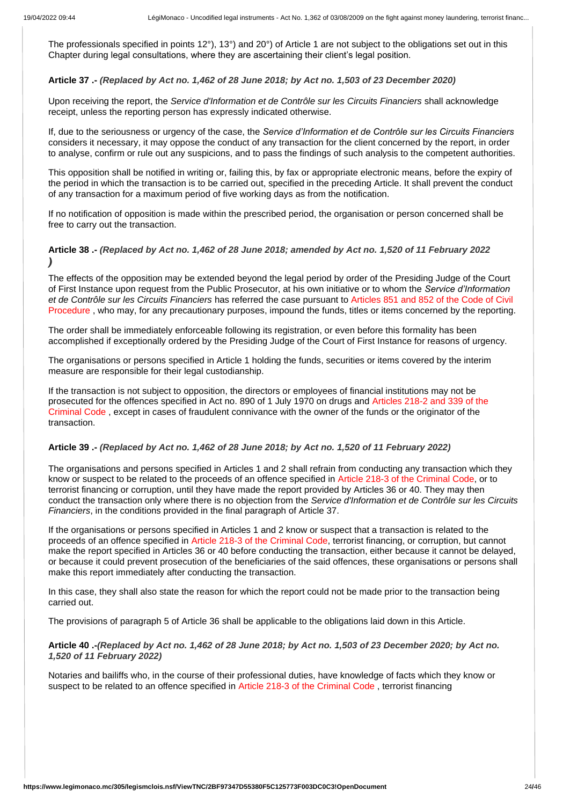The professionals specified in points 12°), 13°) and 20°) of Article 1 are not subject to the obligations set out in this Chapter during legal consultations, where they are ascertaining their client's legal position.

## **Article 37 .-** *(Replaced by Act no. 1,462 of 28 June 2018; by Act no. 1,503 of 23 December 2020)*

Upon receiving the report, the *Service d'Information et de Contrôle sur les Circuits Financiers* shall acknowledge receipt, unless the reporting person has expressly indicated otherwise.

If, due to the seriousness or urgency of the case, the *Service d'Information et de Contrôle sur les Circuits Financiers* considers it necessary, it may oppose the conduct of any transaction for the client concerned by the report, in order to analyse, confirm or rule out any suspicions, and to pass the findings of such analysis to the competent authorities.

This opposition shall be notified in writing or, failing this, by fax or appropriate electronic means, before the expiry of the period in which the transaction is to be carried out, specified in the preceding Article. It shall prevent the conduct of any transaction for a maximum period of five working days as from the notification.

If no notification of opposition is made within the prescribed period, the organisation or person concerned shall be free to carry out the transaction.

# **Article 38 .-** *(Replaced by Act no. 1,462 of 28 June 2018; amended by Act no. 1,520 of 11 February 2022 )*

The effects of the opposition may be extended beyond the legal period by order of the Presiding Judge of the Court of First Instance upon request from the Public Prosecutor, at his own initiative or to whom the *Service d'Information et de Contrôle sur les Circuits Financiers* has referred the case pursuant to Articles 851 and 852 of the Code of Civil Procedure , who may, for any precautionary purposes, impound the funds, titles or items concerned by the reporting.

The order shall be immediately enforceable following its registration, or even before this formality has been accomplished if exceptionally ordered by the Presiding Judge of the Court of First Instance for reasons of urgency.

The organisations or persons specified in Article 1 holding the funds, securities or items covered by the interim measure are responsible for their legal custodianship.

If the transaction is not subject to opposition, the directors or employees of financial institutions may not be prosecuted for the offences specified in Act no. 890 of 1 July 1970 on drugs and Articles 218-2 and 339 of the Criminal Code , except in cases of fraudulent connivance with the owner of the funds or the originator of the transaction.

#### **Article 39 .-** *(Replaced by Act no. 1,462 of 28 June 2018; by Act no. 1,520 of 11 February 2022)*

The organisations and persons specified in Articles 1 and 2 shall refrain from conducting any transaction which they know or suspect to be related to the proceeds of an offence specified in Article 218-3 of the Criminal Code, or to terrorist financing or corruption, until they have made the report provided by Articles 36 or 40. They may then conduct the transaction only where there is no objection from the *Service d'Information et de Contrôle sur les Circuits Financiers*, in the conditions provided in the final paragraph of Article 37.

If the organisations or persons specified in Articles 1 and 2 know or suspect that a transaction is related to the proceeds of an offence specified in Article 218-3 of the Criminal Code, terrorist financing, or corruption, but cannot make the report specified in Articles 36 or 40 before conducting the transaction, either because it cannot be delayed, or because it could prevent prosecution of the beneficiaries of the said offences, these organisations or persons shall make this report immediately after conducting the transaction.

In this case, they shall also state the reason for which the report could not be made prior to the transaction being carried out.

The provisions of paragraph 5 of Article 36 shall be applicable to the obligations laid down in this Article.

# **Article 40 .-***(Replaced by Act no. 1,462 of 28 June 2018; by Act no. 1,503 of 23 December 2020; by Act no. 1,520 of 11 February 2022)*

Notaries and bailiffs who, in the course of their professional duties, have knowledge of facts which they know or suspect to be related to an offence specified in Article 218-3 of the Criminal Code, terrorist financing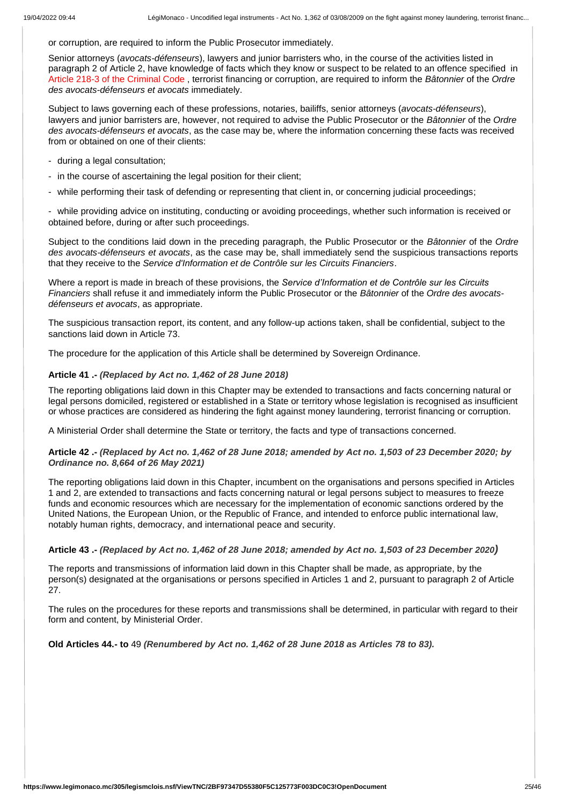or corruption, are required to inform the Public Prosecutor immediately.

Senior attorneys (*avocats-défenseurs*), lawyers and junior barristers who, in the course of the activities listed in paragraph 2 of Article 2, have knowledge of facts which they know or suspect to be related to an offence specified in Article 218-3 of the Criminal Code , terrorist financing or corruption, are required to inform the *Bâtonnier* of the *Ordre des avocats-défenseurs et avocats* immediately.

Subject to laws governing each of these professions, notaries, bailiffs, senior attorneys (*avocats-défenseurs*), lawyers and junior barristers are, however, not required to advise the Public Prosecutor or the *Bâtonnier* of the *Ordre des avocats-défenseurs et avocats*, as the case may be, where the information concerning these facts was received from or obtained on one of their clients:

- during a legal consultation;
- in the course of ascertaining the legal position for their client;
- while performing their task of defending or representing that client in, or concerning judicial proceedings;

- while providing advice on instituting, conducting or avoiding proceedings, whether such information is received or obtained before, during or after such proceedings.

Subject to the conditions laid down in the preceding paragraph, the Public Prosecutor or the *Bâtonnier* of the *Ordre des avocats-défenseurs et avocats*, as the case may be, shall immediately send the suspicious transactions reports that they receive to the *Service d'Information et de Contrôle sur les Circuits Financiers*.

Where a report is made in breach of these provisions, the *Service d'Information et de Contrôle sur les Circuits Financiers* shall refuse it and immediately inform the Public Prosecutor or the *Bâtonnier* of the *Ordre des avocatsdéfenseurs et avocats*, as appropriate.

The suspicious transaction report, its content, and any follow-up actions taken, shall be confidential, subject to the sanctions laid down in Article 73.

The procedure for the application of this Article shall be determined by Sovereign Ordinance.

#### **Article 41 .-** *(Replaced by Act no. 1,462 of 28 June 2018)*

The reporting obligations laid down in this Chapter may be extended to transactions and facts concerning natural or legal persons domiciled, registered or established in a State or territory whose legislation is recognised as insufficient or whose practices are considered as hindering the fight against money laundering, terrorist financing or corruption.

A Ministerial Order shall determine the State or territory, the facts and type of transactions concerned.

#### **Article 42 .-** *(Replaced by Act no. 1,462 of 28 June 2018; amended by Act no. 1,503 of 23 December 2020; by Ordinance no. 8,664 of 26 May 2021)*

The reporting obligations laid down in this Chapter, incumbent on the organisations and persons specified in Articles 1 and 2, are extended to transactions and facts concerning natural or legal persons subject to measures to freeze funds and economic resources which are necessary for the implementation of economic sanctions ordered by the United Nations, the European Union, or the Republic of France, and intended to enforce public international law, notably human rights, democracy, and international peace and security.

# **Article 43 .-** *(Replaced by Act no. 1,462 of 28 June 2018; amended by Act no. 1,503 of 23 December 2020)*

The reports and transmissions of information laid down in this Chapter shall be made, as appropriate, by the person(s) designated at the organisations or persons specified in Articles 1 and 2, pursuant to paragraph 2 of Article 27.

The rules on the procedures for these reports and transmissions shall be determined, in particular with regard to their form and content, by Ministerial Order.

**Old Articles 44.- to** 49 *(Renumbered by Act no. 1,462 of 28 June 2018 as Articles 78 to 83).*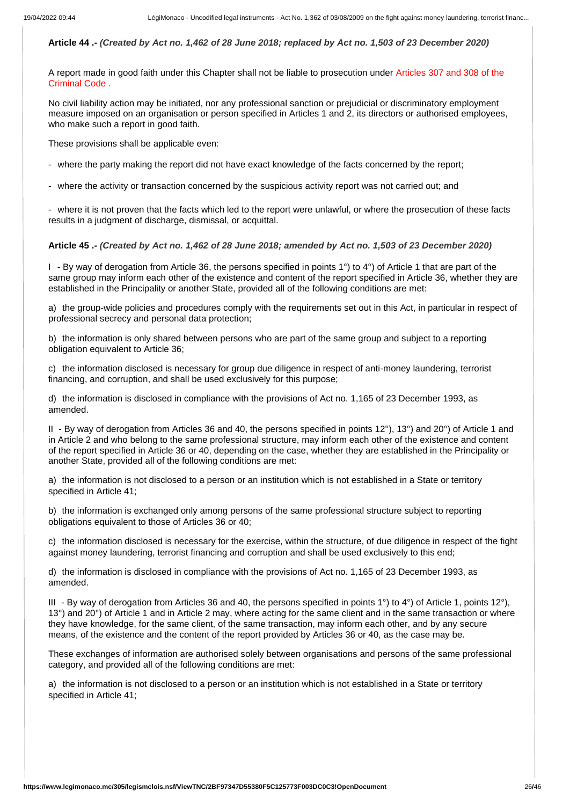# **Article 44 .-** *(Created by Act no. 1,462 of 28 June 2018; replaced by Act no. 1,503 of 23 December 2020)*

A report made in good faith under this Chapter shall not be liable to prosecution under Articles 307 and 308 of the Criminal Code .

No civil liability action may be initiated, nor any professional sanction or prejudicial or discriminatory employment measure imposed on an organisation or person specified in Articles 1 and 2, its directors or authorised employees, who make such a report in good faith.

These provisions shall be applicable even:

- where the party making the report did not have exact knowledge of the facts concerned by the report;

- where the activity or transaction concerned by the suspicious activity report was not carried out; and

- where it is not proven that the facts which led to the report were unlawful, or where the prosecution of these facts results in a judgment of discharge, dismissal, or acquittal.

## **Article 45 .-** *(Created by Act no. 1,462 of 28 June 2018; amended by Act no. 1,503 of 23 December 2020)*

I - By way of derogation from Article 36, the persons specified in points 1°) to 4°) of Article 1 that are part of the same group may inform each other of the existence and content of the report specified in Article 36, whether they are established in the Principality or another State, provided all of the following conditions are met:

a) the group-wide policies and procedures comply with the requirements set out in this Act, in particular in respect of professional secrecy and personal data protection;

b) the information is only shared between persons who are part of the same group and subject to a reporting obligation equivalent to Article 36;

c) the information disclosed is necessary for group due diligence in respect of anti-money laundering, terrorist financing, and corruption, and shall be used exclusively for this purpose;

d) the information is disclosed in compliance with the provisions of Act no. 1,165 of 23 December 1993, as amended.

II - By way of derogation from Articles 36 and 40, the persons specified in points 12°), 13°) and 20°) of Article 1 and in Article 2 and who belong to the same professional structure, may inform each other of the existence and content of the report specified in Article 36 or 40, depending on the case, whether they are established in the Principality or another State, provided all of the following conditions are met:

a) the information is not disclosed to a person or an institution which is not established in a State or territory specified in Article 41;

b) the information is exchanged only among persons of the same professional structure subject to reporting obligations equivalent to those of Articles 36 or 40;

c) the information disclosed is necessary for the exercise, within the structure, of due diligence in respect of the fight against money laundering, terrorist financing and corruption and shall be used exclusively to this end;

d) the information is disclosed in compliance with the provisions of Act no. 1,165 of 23 December 1993, as amended.

III - By way of derogation from Articles 36 and 40, the persons specified in points 1°) to 4°) of Article 1, points 12°), 13°) and 20°) of Article 1 and in Article 2 may, where acting for the same client and in the same transaction or where they have knowledge, for the same client, of the same transaction, may inform each other, and by any secure means, of the existence and the content of the report provided by Articles 36 or 40, as the case may be.

These exchanges of information are authorised solely between organisations and persons of the same professional category, and provided all of the following conditions are met:

a) the information is not disclosed to a person or an institution which is not established in a State or territory specified in Article 41;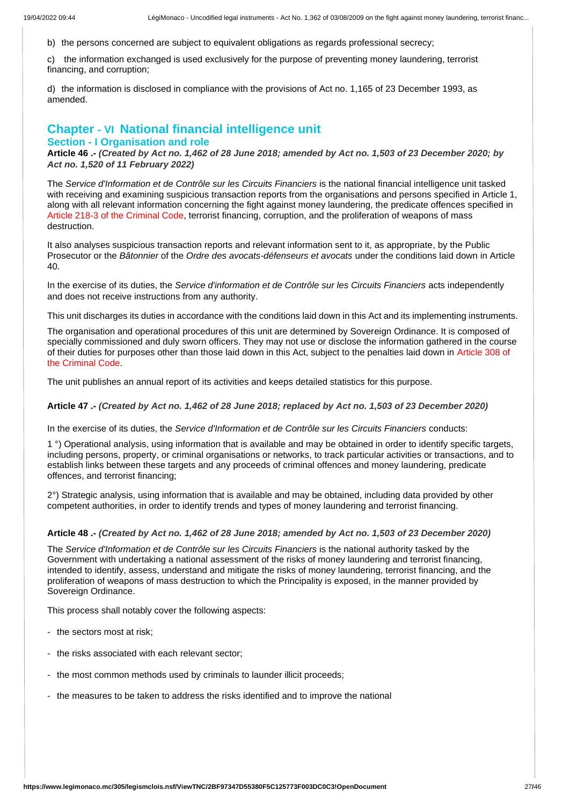b) the persons concerned are subject to equivalent obligations as regards professional secrecy;

c) the information exchanged is used exclusively for the purpose of preventing money laundering, terrorist financing, and corruption;

d) the information is disclosed in compliance with the provisions of Act no. 1,165 of 23 December 1993, as amended.

# **Chapter - VI National financial intelligence unit**

# **Section - I Organisation and role**

**Article 46 .-** *(Created by Act no. 1,462 of 28 June 2018; amended by Act no. 1,503 of 23 December 2020; by Act no. 1,520 of 11 February 2022)*

The *Service d'Information et de Contrôle sur les Circuits Financiers* is the national financial intelligence unit tasked with receiving and examining suspicious transaction reports from the organisations and persons specified in Article 1, along with all relevant information concerning the fight against money laundering, the predicate offences specified in Article 218-3 of the Criminal Code, terrorist financing, corruption, and the proliferation of weapons of mass destruction.

It also analyses suspicious transaction reports and relevant information sent to it, as appropriate, by the Public Prosecutor or the *Bâtonnier* of the *Ordre des avocats-défenseurs et avocats* under the conditions laid down in Article 40.

In the exercise of its duties, the *Service d'information et de Contrôle sur les Circuits Financiers* acts independently and does not receive instructions from any authority.

This unit discharges its duties in accordance with the conditions laid down in this Act and its implementing instruments.

The organisation and operational procedures of this unit are determined by Sovereign Ordinance. It is composed of specially commissioned and duly sworn officers. They may not use or disclose the information gathered in the course of their duties for purposes other than those laid down in this Act, subject to the penalties laid down in Article 308 of the Criminal Code.

The unit publishes an annual report of its activities and keeps detailed statistics for this purpose.

**Article 47 .-** *(Created by Act no. 1,462 of 28 June 2018; replaced by Act no. 1,503 of 23 December 2020)*

In the exercise of its duties, the *Service d'Information et de Contrôle sur les Circuits Financiers* conducts:

1 °) Operational analysis, using information that is available and may be obtained in order to identify specific targets, including persons, property, or criminal organisations or networks, to track particular activities or transactions, and to establish links between these targets and any proceeds of criminal offences and money laundering, predicate offences, and terrorist financing;

2°) Strategic analysis, using information that is available and may be obtained, including data provided by other competent authorities, in order to identify trends and types of money laundering and terrorist financing.

#### **Article 48 .-** *(Created by Act no. 1,462 of 28 June 2018; amended by Act no. 1,503 of 23 December 2020)*

The *Service d'Information et de Contrôle sur les Circuits Financiers* is the national authority tasked by the Government with undertaking a national assessment of the risks of money laundering and terrorist financing, intended to identify, assess, understand and mitigate the risks of money laundering, terrorist financing, and the proliferation of weapons of mass destruction to which the Principality is exposed, in the manner provided by Sovereign Ordinance.

This process shall notably cover the following aspects:

- the sectors most at risk;
- the risks associated with each relevant sector;
- the most common methods used by criminals to launder illicit proceeds;
- the measures to be taken to address the risks identified and to improve the national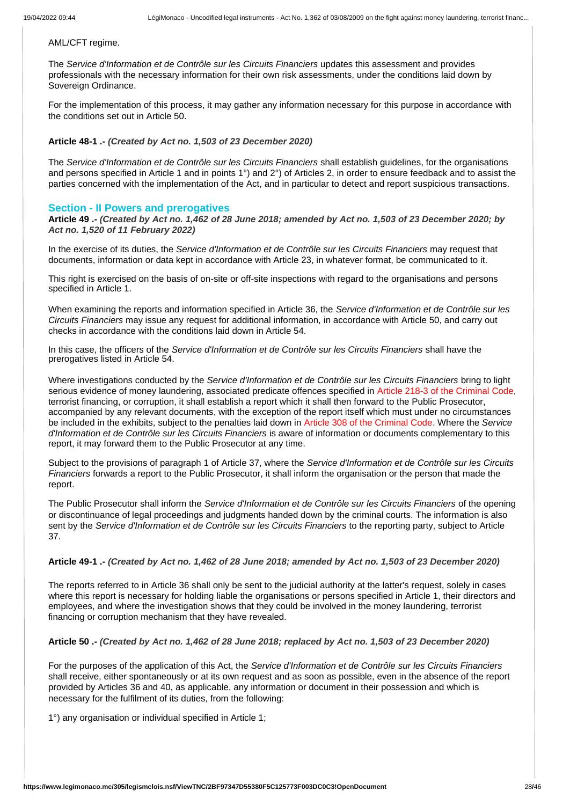#### AML/CFT regime.

The *Service d'Information et de Contrôle sur les Circuits Financiers* updates this assessment and provides professionals with the necessary information for their own risk assessments, under the conditions laid down by Sovereign Ordinance.

For the implementation of this process, it may gather any information necessary for this purpose in accordance with the conditions set out in Article 50.

# **Article 48-1 .-** *(Created by Act no. 1,503 of 23 December 2020)*

The *Service d'Information et de Contrôle sur les Circuits Financiers* shall establish guidelines, for the organisations and persons specified in Article 1 and in points 1°) and 2°) of Articles 2, in order to ensure feedback and to assist the parties concerned with the implementation of the Act, and in particular to detect and report suspicious transactions.

# **Section - II Powers and prerogatives**

**Article 49 .-** *(Created by Act no. 1,462 of 28 June 2018; amended by Act no. 1,503 of 23 December 2020; by Act no. 1,520 of 11 February 2022)*

In the exercise of its duties, the *Service d'Information et de Contrôle sur les Circuits Financiers* may request that documents, information or data kept in accordance with Article 23, in whatever format, be communicated to it.

This right is exercised on the basis of on-site or off-site inspections with regard to the organisations and persons specified in Article 1.

When examining the reports and information specified in Article 36, the *Service d'Information et de Contrôle sur les Circuits Financiers* may issue any request for additional information, in accordance with Article 50, and carry out checks in accordance with the conditions laid down in Article 54.

In this case, the officers of the *Service d'Information et de Contrôle sur les Circuits Financiers* shall have the prerogatives listed in Article 54.

Where investigations conducted by the *Service d'Information et de Contrôle sur les Circuits Financiers* bring to light serious evidence of money laundering, associated predicate offences specified in Article 218-3 of the Criminal Code, terrorist financing, or corruption, it shall establish a report which it shall then forward to the Public Prosecutor, accompanied by any relevant documents, with the exception of the report itself which must under no circumstances be included in the exhibits, subject to the penalties laid down in Article 308 of the Criminal Code. Where the *Service d'Information et de Contrôle sur les Circuits Financiers* is aware of information or documents complementary to this report, it may forward them to the Public Prosecutor at any time.

Subject to the provisions of paragraph 1 of Article 37, where the *Service d'Information et de Contrôle sur les Circuits Financiers* forwards a report to the Public Prosecutor, it shall inform the organisation or the person that made the report.

The Public Prosecutor shall inform the *Service d'Information et de Contrôle sur les Circuits Financiers* of the opening or discontinuance of legal proceedings and judgments handed down by the criminal courts. The information is also sent by the *Service d'Information et de Contrôle sur les Circuits Financiers* to the reporting party, subject to Article 37.

# **Article 49-1 .-** *(Created by Act no. 1,462 of 28 June 2018; amended by Act no. 1,503 of 23 December 2020)*

The reports referred to in Article 36 shall only be sent to the judicial authority at the latter's request, solely in cases where this report is necessary for holding liable the organisations or persons specified in Article 1, their directors and employees, and where the investigation shows that they could be involved in the money laundering, terrorist financing or corruption mechanism that they have revealed.

# **Article 50 .-** *(Created by Act no. 1,462 of 28 June 2018; replaced by Act no. 1,503 of 23 December 2020)*

For the purposes of the application of this Act, the *Service d'Information et de Contrôle sur les Circuits Financiers* shall receive, either spontaneously or at its own request and as soon as possible, even in the absence of the report provided by Articles 36 and 40, as applicable, any information or document in their possession and which is necessary for the fulfilment of its duties, from the following:

1°) any organisation or individual specified in Article 1;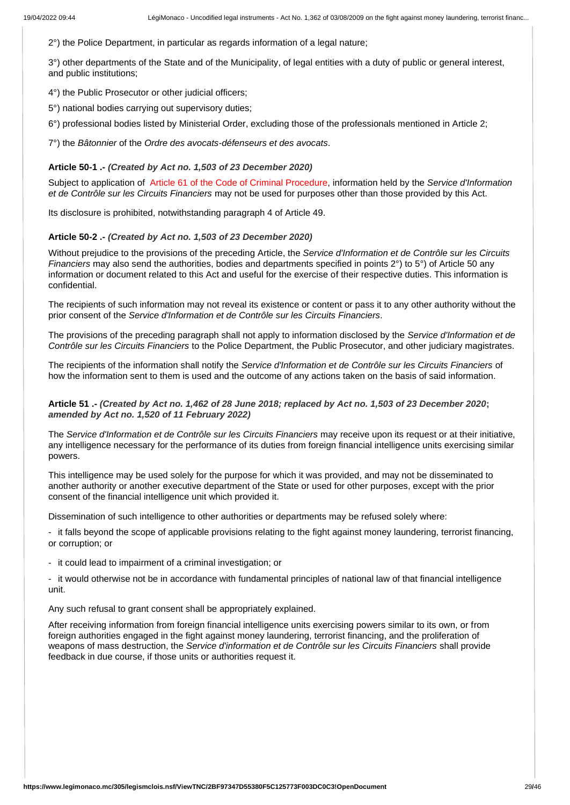2°) the Police Department, in particular as regards information of a legal nature;

3°) other departments of the State and of the Municipality, of legal entities with a duty of public or general interest, and public institutions;

4°) the Public Prosecutor or other judicial officers;

5°) national bodies carrying out supervisory duties;

6°) professional bodies listed by Ministerial Order, excluding those of the professionals mentioned in Article 2;

7°) the *Bâtonnier* of the *Ordre des avocats-défenseurs et des avocats*.

#### **Article 50-1 .-** *(Created by Act no. 1,503 of 23 December 2020)*

Subject to application of Article 61 of the Code of Criminal Procedure, information held by the *Service d'Information et de Contrôle sur les Circuits Financiers* may not be used for purposes other than those provided by this Act.

Its disclosure is prohibited, notwithstanding paragraph 4 of Article 49.

## **Article 50-2 .-** *(Created by Act no. 1,503 of 23 December 2020)*

Without prejudice to the provisions of the preceding Article, the *Service d'Information et de Contrôle sur les Circuits Financiers* may also send the authorities, bodies and departments specified in points 2°) to 5°) of Article 50 any information or document related to this Act and useful for the exercise of their respective duties. This information is confidential.

The recipients of such information may not reveal its existence or content or pass it to any other authority without the prior consent of the *Service d'Information et de Contrôle sur les Circuits Financiers*.

The provisions of the preceding paragraph shall not apply to information disclosed by the *Service d'Information et de Contrôle sur les Circuits Financiers* to the Police Department, the Public Prosecutor, and other judiciary magistrates.

The recipients of the information shall notify the *Service d'Information et de Contrôle sur les Circuits Financiers* of how the information sent to them is used and the outcome of any actions taken on the basis of said information.

# **Article 51 .-** *(Created by Act no. 1,462 of 28 June 2018; replaced by Act no. 1,503 of 23 December 2020***;**  *amended by Act no. 1,520 of 11 February 2022)*

The *Service d'Information et de Contrôle sur les Circuits Financiers* may receive upon its request or at their initiative, any intelligence necessary for the performance of its duties from foreign financial intelligence units exercising similar powers.

This intelligence may be used solely for the purpose for which it was provided, and may not be disseminated to another authority or another executive department of the State or used for other purposes, except with the prior consent of the financial intelligence unit which provided it.

Dissemination of such intelligence to other authorities or departments may be refused solely where:

- it falls beyond the scope of applicable provisions relating to the fight against money laundering, terrorist financing, or corruption; or

- it could lead to impairment of a criminal investigation; or

- it would otherwise not be in accordance with fundamental principles of national law of that financial intelligence unit.

Any such refusal to grant consent shall be appropriately explained.

After receiving information from foreign financial intelligence units exercising powers similar to its own, or from foreign authorities engaged in the fight against money laundering, terrorist financing, and the proliferation of weapons of mass destruction, the *Service d'information et de Contrôle sur les Circuits Financiers* shall provide feedback in due course, if those units or authorities request it.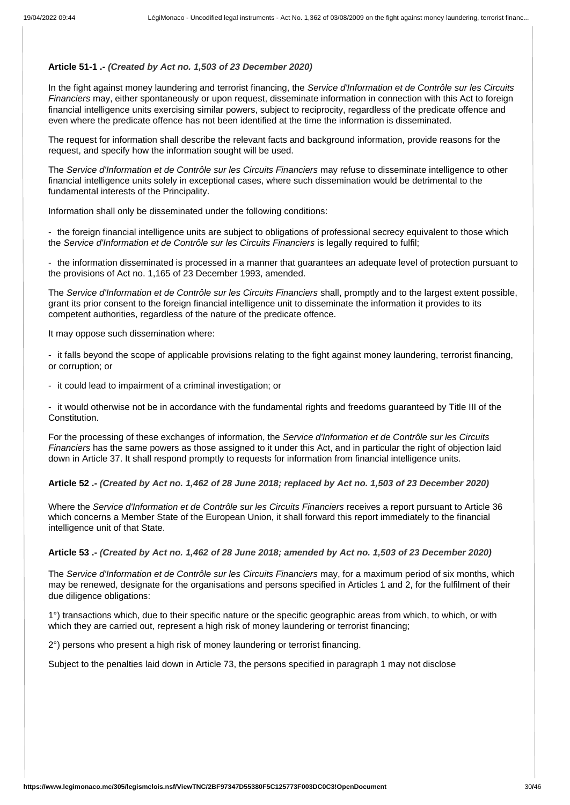# **Article 51-1 .-** *(Created by Act no. 1,503 of 23 December 2020)*

In the fight against money laundering and terrorist financing, the *Service d'Information et de Contrôle sur les Circuits Financiers* may, either spontaneously or upon request, disseminate information in connection with this Act to foreign financial intelligence units exercising similar powers, subject to reciprocity, regardless of the predicate offence and even where the predicate offence has not been identified at the time the information is disseminated.

The request for information shall describe the relevant facts and background information, provide reasons for the request, and specify how the information sought will be used.

The *Service d'Information et de Contrôle sur les Circuits Financiers* may refuse to disseminate intelligence to other financial intelligence units solely in exceptional cases, where such dissemination would be detrimental to the fundamental interests of the Principality.

Information shall only be disseminated under the following conditions:

- the foreign financial intelligence units are subject to obligations of professional secrecy equivalent to those which the *Service d'Information et de Contrôle sur les Circuits Financiers* is legally required to fulfil;

- the information disseminated is processed in a manner that guarantees an adequate level of protection pursuant to the provisions of Act no. 1,165 of 23 December 1993, amended.

The *Service d'Information et de Contrôle sur les Circuits Financiers* shall, promptly and to the largest extent possible, grant its prior consent to the foreign financial intelligence unit to disseminate the information it provides to its competent authorities, regardless of the nature of the predicate offence.

It may oppose such dissemination where:

- it falls beyond the scope of applicable provisions relating to the fight against money laundering, terrorist financing, or corruption; or

- it could lead to impairment of a criminal investigation; or

- it would otherwise not be in accordance with the fundamental rights and freedoms guaranteed by Title III of the Constitution.

For the processing of these exchanges of information, the *Service d'Information et de Contrôle sur les Circuits Financiers* has the same powers as those assigned to it under this Act, and in particular the right of objection laid down in Article 37. It shall respond promptly to requests for information from financial intelligence units.

**Article 52 .-** *(Created by Act no. 1,462 of 28 June 2018; replaced by Act no. 1,503 of 23 December 2020)*

Where the *Service d'Information et de Contrôle sur les Circuits Financiers* receives a report pursuant to Article 36 which concerns a Member State of the European Union, it shall forward this report immediately to the financial intelligence unit of that State.

#### **Article 53 .-** *(Created by Act no. 1,462 of 28 June 2018; amended by Act no. 1,503 of 23 December 2020)*

The *Service d'Information et de Contrôle sur les Circuits Financiers* may, for a maximum period of six months, which may be renewed, designate for the organisations and persons specified in Articles 1 and 2, for the fulfilment of their due diligence obligations:

1°) transactions which, due to their specific nature or the specific geographic areas from which, to which, or with which they are carried out, represent a high risk of money laundering or terrorist financing;

2°) persons who present a high risk of money laundering or terrorist financing.

Subject to the penalties laid down in Article 73, the persons specified in paragraph 1 may not disclose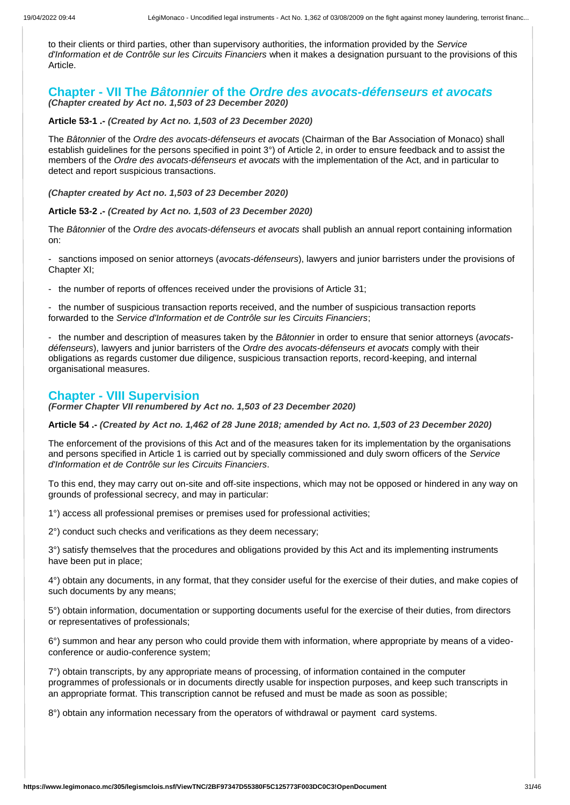to their clients or third parties, other than supervisory authorities, the information provided by the *Service d'Information et de Contrôle sur les Circuits Financiers* when it makes a designation pursuant to the provisions of this Article.

# **Chapter - VII The** *Bâtonnier* **of the** *Ordre des avocats-défenseurs et avocats (Chapter created by Act no. 1,503 of 23 December 2020)*

**Article 53-1 .-** *(Created by Act no. 1,503 of 23 December 2020)*

The *Bâtonnier* of the *Ordre des avocats-défenseurs et avocats* (Chairman of the Bar Association of Monaco) shall establish guidelines for the persons specified in point 3°) of Article 2, in order to ensure feedback and to assist the members of the *Ordre des avocats-défenseurs et avocats* with the implementation of the Act, and in particular to detect and report suspicious transactions.

*(Chapter created by Act no. 1,503 of 23 December 2020)*

#### **Article 53-2 .-** *(Created by Act no. 1,503 of 23 December 2020)*

The *Bâtonnier* of the *Ordre des avocats-défenseurs et avocats* shall publish an annual report containing information on:

- sanctions imposed on senior attorneys (*avocats-défenseurs*), lawyers and junior barristers under the provisions of Chapter XI;

- the number of reports of offences received under the provisions of Article 31;

- the number of suspicious transaction reports received, and the number of suspicious transaction reports forwarded to the *Service d'Information et de Contrôle sur les Circuits Financiers*;

- the number and description of measures taken by the *Bâtonnier* in order to ensure that senior attorneys (*avocatsdéfenseurs*), lawyers and junior barristers of the *Ordre des avocats-défenseurs et avocats* comply with their obligations as regards customer due diligence, suspicious transaction reports, record-keeping, and internal organisational measures.

# **Chapter - VIII Supervision**

*(Former Chapter VII renumbered by Act no. 1,503 of 23 December 2020)*

**Article 54 .-** *(Created by Act no. 1,462 of 28 June 2018; amended by Act no. 1,503 of 23 December 2020)*

The enforcement of the provisions of this Act and of the measures taken for its implementation by the organisations and persons specified in Article 1 is carried out by specially commissioned and duly sworn officers of the *Service d'Information et de Contrôle sur les Circuits Financiers*.

To this end, they may carry out on-site and off-site inspections, which may not be opposed or hindered in any way on grounds of professional secrecy, and may in particular:

1°) access all professional premises or premises used for professional activities;

2°) conduct such checks and verifications as they deem necessary;

3°) satisfy themselves that the procedures and obligations provided by this Act and its implementing instruments have been put in place;

4°) obtain any documents, in any format, that they consider useful for the exercise of their duties, and make copies of such documents by any means;

5°) obtain information, documentation or supporting documents useful for the exercise of their duties, from directors or representatives of professionals;

6°) summon and hear any person who could provide them with information, where appropriate by means of a videoconference or audio-conference system;

7°) obtain transcripts, by any appropriate means of processing, of information contained in the computer programmes of professionals or in documents directly usable for inspection purposes, and keep such transcripts in an appropriate format. This transcription cannot be refused and must be made as soon as possible;

8°) obtain any information necessary from the operators of withdrawal or payment card systems.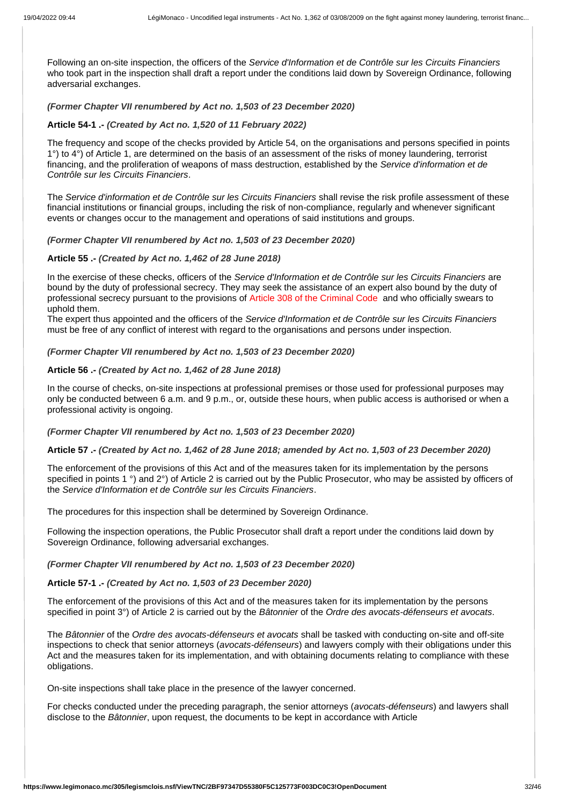Following an on-site inspection, the officers of the *Service d'Information et de Contrôle sur les Circuits Financiers* who took part in the inspection shall draft a report under the conditions laid down by Sovereign Ordinance, following adversarial exchanges.

# *(Former Chapter VII renumbered by Act no. 1,503 of 23 December 2020)*

# **Article 54-1 .-** *(Created by Act no. 1,520 of 11 February 2022)*

The frequency and scope of the checks provided by Article 54, on the organisations and persons specified in points 1°) to 4°) of Article 1, are determined on the basis of an assessment of the risks of money laundering, terrorist financing, and the proliferation of weapons of mass destruction, established by the *Service d'information et de Contrôle sur les Circuits Financiers*.

The *Service d'information et de Contrôle sur les Circuits Financiers* shall revise the risk profile assessment of these financial institutions or financial groups, including the risk of non-compliance, regularly and whenever significant events or changes occur to the management and operations of said institutions and groups.

## *(Former Chapter VII renumbered by Act no. 1,503 of 23 December 2020)*

# **Article 55 .-** *(Created by Act no. 1,462 of 28 June 2018)*

In the exercise of these checks, officers of the *Service d'Information et de Contrôle sur les Circuits Financiers* are bound by the duty of professional secrecy. They may seek the assistance of an expert also bound by the duty of professional secrecy pursuant to the provisions of Article 308 of the Criminal Code and who officially swears to uphold them.

The expert thus appointed and the officers of the *Service d'Information et de Contrôle sur les Circuits Financiers* must be free of any conflict of interest with regard to the organisations and persons under inspection.

## *(Former Chapter VII renumbered by Act no. 1,503 of 23 December 2020)*

# **Article 56 .-** *(Created by Act no. 1,462 of 28 June 2018)*

In the course of checks, on-site inspections at professional premises or those used for professional purposes may only be conducted between 6 a.m. and 9 p.m., or, outside these hours, when public access is authorised or when a professional activity is ongoing.

#### *(Former Chapter VII renumbered by Act no. 1,503 of 23 December 2020)*

#### **Article 57 .-** *(Created by Act no. 1,462 of 28 June 2018; amended by Act no. 1,503 of 23 December 2020)*

The enforcement of the provisions of this Act and of the measures taken for its implementation by the persons specified in points 1 °) and 2°) of Article 2 is carried out by the Public Prosecutor, who may be assisted by officers of the *Service d'Information et de Contrôle sur les Circuits Financiers*.

The procedures for this inspection shall be determined by Sovereign Ordinance.

Following the inspection operations, the Public Prosecutor shall draft a report under the conditions laid down by Sovereign Ordinance, following adversarial exchanges.

#### *(Former Chapter VII renumbered by Act no. 1,503 of 23 December 2020)*

#### **Article 57-1 .-** *(Created by Act no. 1,503 of 23 December 2020)*

The enforcement of the provisions of this Act and of the measures taken for its implementation by the persons specified in point 3°) of Article 2 is carried out by the *Bâtonnier* of the *Ordre des avocats-défenseurs et avocats*.

The *Bâtonnier* of the *Ordre des avocats-défenseurs et avocats* shall be tasked with conducting on-site and off-site inspections to check that senior attorneys (*avocats-défenseurs*) and lawyers comply with their obligations under this Act and the measures taken for its implementation, and with obtaining documents relating to compliance with these obligations.

On-site inspections shall take place in the presence of the lawyer concerned.

For checks conducted under the preceding paragraph, the senior attorneys (*avocats-défenseurs*) and lawyers shall disclose to the *Bâtonnier*, upon request, the documents to be kept in accordance with Article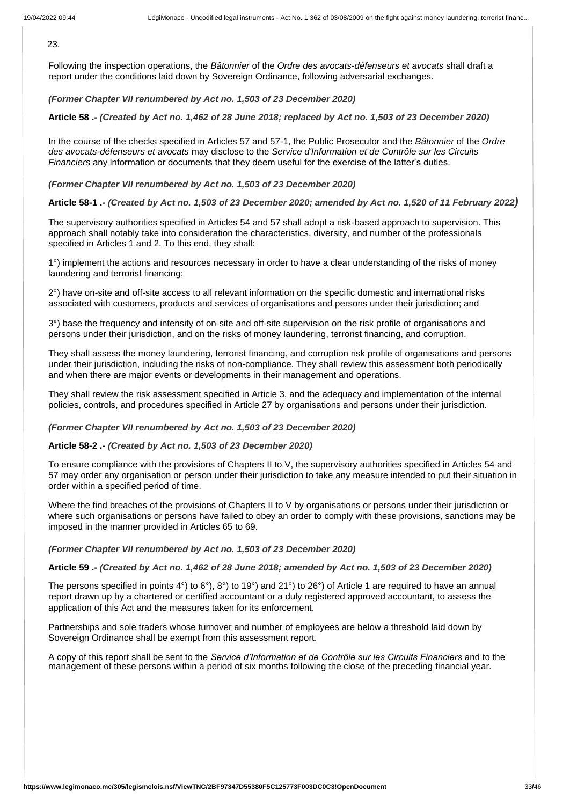$23.$ 

Following the inspection operations, the *Bâtonnier* of the *Ordre des avocats-défenseurs et avocats* shall draft a report under the conditions laid down by Sovereign Ordinance, following adversarial exchanges.

# *(Former Chapter VII renumbered by Act no. 1,503 of 23 December 2020)*

**Article 58 .-** *(Created by Act no. 1,462 of 28 June 2018; replaced by Act no. 1,503 of 23 December 2020)*

In the course of the checks specified in Articles 57 and 57-1, the Public Prosecutor and the *Bâtonnier* of the *Ordre des avocats-défenseurs et avocats* may disclose to the *Service d'Information et de Contrôle sur les Circuits Financiers* any information or documents that they deem useful for the exercise of the latter's duties.

# *(Former Chapter VII renumbered by Act no. 1,503 of 23 December 2020)*

# **Article 58-1 .-** *(Created by Act no. 1,503 of 23 December 2020; amended by Act no. 1,520 of 11 February 2022)*

The supervisory authorities specified in Articles 54 and 57 shall adopt a risk-based approach to supervision. This approach shall notably take into consideration the characteristics, diversity, and number of the professionals specified in Articles 1 and 2. To this end, they shall:

1°) implement the actions and resources necessary in order to have a clear understanding of the risks of money laundering and terrorist financing;

2°) have on-site and off-site access to all relevant information on the specific domestic and international risks associated with customers, products and services of organisations and persons under their jurisdiction; and

3°) base the frequency and intensity of on-site and off-site supervision on the risk profile of organisations and persons under their jurisdiction, and on the risks of money laundering, terrorist financing, and corruption.

They shall assess the money laundering, terrorist financing, and corruption risk profile of organisations and persons under their jurisdiction, including the risks of non-compliance. They shall review this assessment both periodically and when there are major events or developments in their management and operations.

They shall review the risk assessment specified in Article 3, and the adequacy and implementation of the internal policies, controls, and procedures specified in Article 27 by organisations and persons under their jurisdiction.

# *(Former Chapter VII renumbered by Act no. 1,503 of 23 December 2020)*

# **Article 58-2 .-** *(Created by Act no. 1,503 of 23 December 2020)*

To ensure compliance with the provisions of Chapters II to V, the supervisory authorities specified in Articles 54 and 57 may order any organisation or person under their jurisdiction to take any measure intended to put their situation in order within a specified period of time.

Where the find breaches of the provisions of Chapters II to V by organisations or persons under their jurisdiction or where such organisations or persons have failed to obey an order to comply with these provisions, sanctions may be imposed in the manner provided in Articles 65 to 69.

# *(Former Chapter VII renumbered by Act no. 1,503 of 23 December 2020)*

#### **Article 59 .-** *(Created by Act no. 1,462 of 28 June 2018; amended by Act no. 1,503 of 23 December 2020)*

The persons specified in points 4°) to 6°), 8°) to 19°) and 21°) to 26°) of Article 1 are required to have an annual report drawn up by a chartered or certified accountant or a duly registered approved accountant, to assess the application of this Act and the measures taken for its enforcement.

Partnerships and sole traders whose turnover and number of employees are below a threshold laid down by Sovereign Ordinance shall be exempt from this assessment report.

A copy of this report shall be sent to the *Service d'Information et de Contrôle sur les Circuits Financiers* and to the management of these persons within a period of six months following the close of the preceding financial year.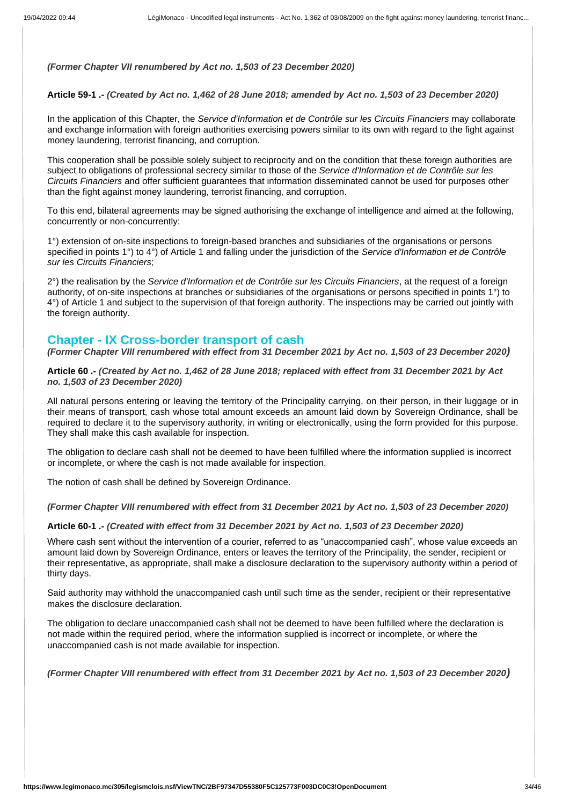## *(Former Chapter VII renumbered by Act no. 1,503 of 23 December 2020)*

# **Article 59-1 .-** *(Created by Act no. 1,462 of 28 June 2018; amended by Act no. 1,503 of 23 December 2020)*

In the application of this Chapter, the *Service d'Information et de Contrôle sur les Circuits Financiers* may collaborate and exchange information with foreign authorities exercising powers similar to its own with regard to the fight against money laundering, terrorist financing, and corruption.

This cooperation shall be possible solely subject to reciprocity and on the condition that these foreign authorities are subject to obligations of professional secrecy similar to those of the *Service d'Information et de Contrôle sur les Circuits Financiers* and offer sufficient guarantees that information disseminated cannot be used for purposes other than the fight against money laundering, terrorist financing, and corruption.

To this end, bilateral agreements may be signed authorising the exchange of intelligence and aimed at the following, concurrently or non-concurrently:

1°) extension of on-site inspections to foreign-based branches and subsidiaries of the organisations or persons specified in points 1°) to 4°) of Article 1 and falling under the jurisdiction of the *Service d'Information et de Contrôle sur les Circuits Financiers*;

2°) the realisation by the *Service d'Information et de Contrôle sur les Circuits Financiers*, at the request of a foreign authority, of on-site inspections at branches or subsidiaries of the organisations or persons specified in points 1°) to 4°) of Article 1 and subject to the supervision of that foreign authority. The inspections may be carried out jointly with the foreign authority.

# **Chapter - IX Cross-border transport of cash**

*(Former Chapter VIII renumbered with effect from 31 December 2021 by Act no. 1,503 of 23 December 2020)*

**Article 60 .-** *(Created by Act no. 1,462 of 28 June 2018; replaced with effect from 31 December 2021 by Act no. 1,503 of 23 December 2020)*

All natural persons entering or leaving the territory of the Principality carrying, on their person, in their luggage or in their means of transport, cash whose total amount exceeds an amount laid down by Sovereign Ordinance, shall be required to declare it to the supervisory authority, in writing or electronically, using the form provided for this purpose. They shall make this cash available for inspection.

The obligation to declare cash shall not be deemed to have been fulfilled where the information supplied is incorrect or incomplete, or where the cash is not made available for inspection.

The notion of cash shall be defined by Sovereign Ordinance.

*(Former Chapter VIII renumbered with effect from 31 December 2021 by Act no. 1,503 of 23 December 2020)*

#### **Article 60-1 .-** *(Created with effect from 31 December 2021 by Act no. 1,503 of 23 December 2020)*

Where cash sent without the intervention of a courier, referred to as "unaccompanied cash", whose value exceeds an amount laid down by Sovereign Ordinance, enters or leaves the territory of the Principality, the sender, recipient or their representative, as appropriate, shall make a disclosure declaration to the supervisory authority within a period of thirty days.

Said authority may withhold the unaccompanied cash until such time as the sender, recipient or their representative makes the disclosure declaration.

The obligation to declare unaccompanied cash shall not be deemed to have been fulfilled where the declaration is not made within the required period, where the information supplied is incorrect or incomplete, or where the unaccompanied cash is not made available for inspection.

*(Former Chapter VIII renumbered with effect from 31 December 2021 by Act no. 1,503 of 23 December 2020)*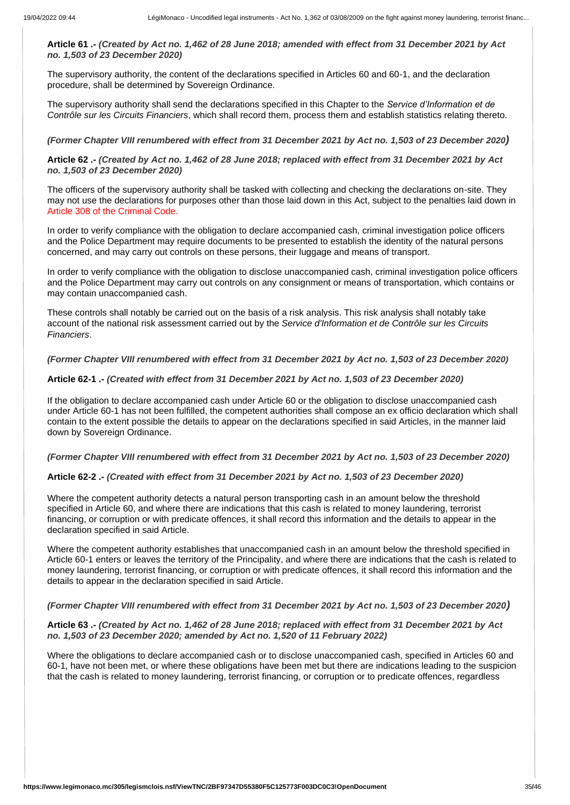**Article 61 .-** *(Created by Act no. 1,462 of 28 June 2018; amended with effect from 31 December 2021 by Act no. 1,503 of 23 December 2020)*

The supervisory authority, the content of the declarations specified in Articles 60 and 60-1, and the declaration procedure, shall be determined by Sovereign Ordinance.

The supervisory authority shall send the declarations specified in this Chapter to the *Service d'Information et de Contrôle sur les Circuits Financiers*, which shall record them, process them and establish statistics relating thereto.

*(Former Chapter VIII renumbered with effect from 31 December 2021 by Act no. 1,503 of 23 December 2020)* 

**Article 62 .-** *(Created by Act no. 1,462 of 28 June 2018; replaced with effect from 31 December 2021 by Act no. 1,503 of 23 December 2020)*

The officers of the supervisory authority shall be tasked with collecting and checking the declarations on-site. They may not use the declarations for purposes other than those laid down in this Act, subject to the penalties laid down in Article 308 of the Criminal Code.

In order to verify compliance with the obligation to declare accompanied cash, criminal investigation police officers and the Police Department may require documents to be presented to establish the identity of the natural persons concerned, and may carry out controls on these persons, their luggage and means of transport.

In order to verify compliance with the obligation to disclose unaccompanied cash, criminal investigation police officers and the Police Department may carry out controls on any consignment or means of transportation, which contains or may contain unaccompanied cash.

These controls shall notably be carried out on the basis of a risk analysis. This risk analysis shall notably take account of the national risk assessment carried out by the *Service d'Information et de Contrôle sur les Circuits Financiers*.

*(Former Chapter VIII renumbered with effect from 31 December 2021 by Act no. 1,503 of 23 December 2020)*

#### **Article 62-1 .-** *(Created with effect from 31 December 2021 by Act no. 1,503 of 23 December 2020)*

If the obligation to declare accompanied cash under Article 60 or the obligation to disclose unaccompanied cash under Article 60-1 has not been fulfilled, the competent authorities shall compose an ex officio declaration which shall contain to the extent possible the details to appear on the declarations specified in said Articles, in the manner laid down by Sovereign Ordinance.

#### *(Former Chapter VIII renumbered with effect from 31 December 2021 by Act no. 1,503 of 23 December 2020)*

#### **Article 62-2 .-** *(Created with effect from 31 December 2021 by Act no. 1,503 of 23 December 2020)*

Where the competent authority detects a natural person transporting cash in an amount below the threshold specified in Article 60, and where there are indications that this cash is related to money laundering, terrorist financing, or corruption or with predicate offences, it shall record this information and the details to appear in the declaration specified in said Article.

Where the competent authority establishes that unaccompanied cash in an amount below the threshold specified in Article 60-1 enters or leaves the territory of the Principality, and where there are indications that the cash is related to money laundering, terrorist financing, or corruption or with predicate offences, it shall record this information and the details to appear in the declaration specified in said Article.

#### *(Former Chapter VIII renumbered with effect from 31 December 2021 by Act no. 1,503 of 23 December 2020)*

# **Article 63 .-** *(Created by Act no. 1,462 of 28 June 2018; replaced with effect from 31 December 2021 by Act no. 1,503 of 23 December 2020; amended by Act no. 1,520 of 11 February 2022)*

Where the obligations to declare accompanied cash or to disclose unaccompanied cash, specified in Articles 60 and 60-1, have not been met, or where these obligations have been met but there are indications leading to the suspicion that the cash is related to money laundering, terrorist financing, or corruption or to predicate offences, regardless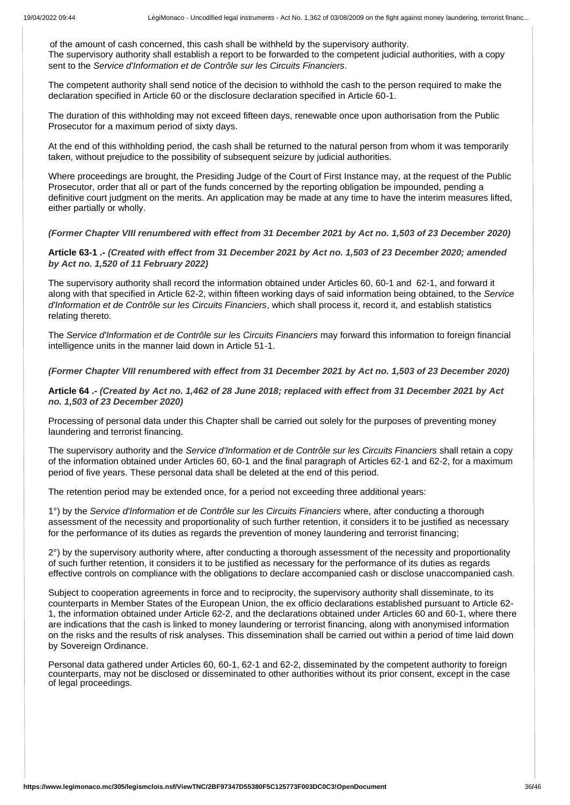of the amount of cash concerned, this cash shall be withheld by the supervisory authority. The supervisory authority shall establish a report to be forwarded to the competent judicial authorities, with a copy sent to the *Service d'Information et de Contrôle sur les Circuits Financiers*.

The competent authority shall send notice of the decision to withhold the cash to the person required to make the declaration specified in Article 60 or the disclosure declaration specified in Article 60-1.

The duration of this withholding may not exceed fifteen days, renewable once upon authorisation from the Public Prosecutor for a maximum period of sixty days.

At the end of this withholding period, the cash shall be returned to the natural person from whom it was temporarily taken, without prejudice to the possibility of subsequent seizure by judicial authorities.

Where proceedings are brought, the Presiding Judge of the Court of First Instance may, at the request of the Public Prosecutor, order that all or part of the funds concerned by the reporting obligation be impounded, pending a definitive court judgment on the merits. An application may be made at any time to have the interim measures lifted, either partially or wholly.

*(Former Chapter VIII renumbered with effect from 31 December 2021 by Act no. 1,503 of 23 December 2020)*

**Article 63-1 .-** *(Created with effect from 31 December 2021 by Act no. 1,503 of 23 December 2020; amended by Act no. 1,520 of 11 February 2022)*

The supervisory authority shall record the information obtained under Articles 60, 60-1 and 62-1, and forward it along with that specified in Article 62-2, within fifteen working days of said information being obtained, to the *Service d'Information et de Contrôle sur les Circuits Financiers*, which shall process it, record it, and establish statistics relating thereto.

The *Service d'Information et de Contrôle sur les Circuits Financiers* may forward this information to foreign financial intelligence units in the manner laid down in Article 51-1.

*(Former Chapter VIII renumbered with effect from 31 December 2021 by Act no. 1,503 of 23 December 2020)*

**Article 64 .-** *(Created by Act no. 1,462 of 28 June 2018; replaced with effect from 31 December 2021 by Act no. 1,503 of 23 December 2020)*

Processing of personal data under this Chapter shall be carried out solely for the purposes of preventing money laundering and terrorist financing.

The supervisory authority and the *Service d'Information et de Contrôle sur les Circuits Financiers* shall retain a copy of the information obtained under Articles 60, 60-1 and the final paragraph of Articles 62-1 and 62-2, for a maximum period of five years. These personal data shall be deleted at the end of this period.

The retention period may be extended once, for a period not exceeding three additional years:

1°) by the *Service d'Information et de Contrôle sur les Circuits Financiers* where, after conducting a thorough assessment of the necessity and proportionality of such further retention, it considers it to be justified as necessary for the performance of its duties as regards the prevention of money laundering and terrorist financing;

2°) by the supervisory authority where, after conducting a thorough assessment of the necessity and proportionality of such further retention, it considers it to be justified as necessary for the performance of its duties as regards effective controls on compliance with the obligations to declare accompanied cash or disclose unaccompanied cash.

Subject to cooperation agreements in force and to reciprocity, the supervisory authority shall disseminate, to its counterparts in Member States of the European Union, the ex officio declarations established pursuant to Article 62- 1, the information obtained under Article 62-2, and the declarations obtained under Articles 60 and 60-1, where there are indications that the cash is linked to money laundering or terrorist financing, along with anonymised information on the risks and the results of risk analyses. This dissemination shall be carried out within a period of time laid down by Sovereign Ordinance.

Personal data gathered under Articles 60, 60-1, 62-1 and 62-2, disseminated by the competent authority to foreign counterparts, may not be disclosed or disseminated to other authorities without its prior consent, except in the case of legal proceedings.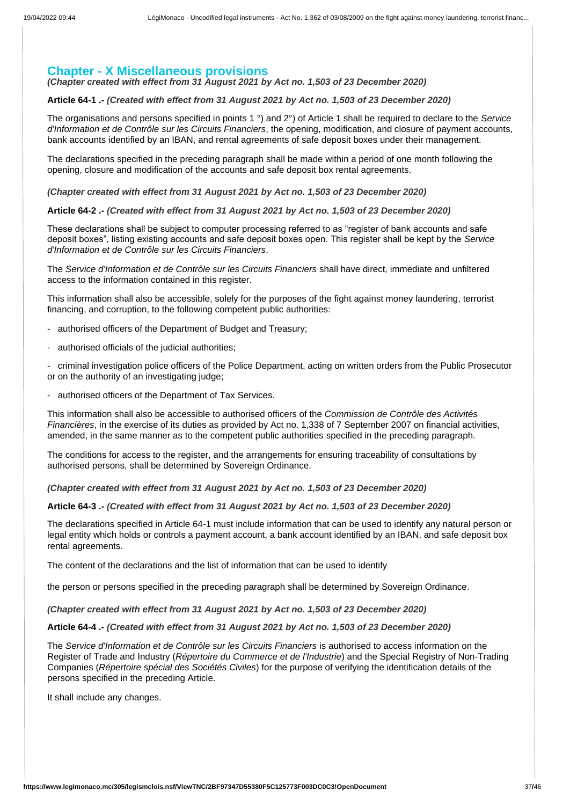# **Chapter - X Miscellaneous provisions**

*(Chapter created with effect from 31 August 2021 by Act no. 1,503 of 23 December 2020)*

**Article 64-1 .-** *(Created with effect from 31 August 2021 by Act no. 1,503 of 23 December 2020)*

The organisations and persons specified in points 1 °) and 2°) of Article 1 shall be required to declare to the *Service d'Information et de Contrôle sur les Circuits Financiers*, the opening, modification, and closure of payment accounts, bank accounts identified by an IBAN, and rental agreements of safe deposit boxes under their management.

The declarations specified in the preceding paragraph shall be made within a period of one month following the opening, closure and modification of the accounts and safe deposit box rental agreements.

*(Chapter created with effect from 31 August 2021 by Act no. 1,503 of 23 December 2020)*

**Article 64-2 .-** *(Created with effect from 31 August 2021 by Act no. 1,503 of 23 December 2020)*

These declarations shall be subject to computer processing referred to as "register of bank accounts and safe deposit boxes", listing existing accounts and safe deposit boxes open. This register shall be kept by the *Service d'Information et de Contrôle sur les Circuits Financiers*.

The *Service d'Information et de Contrôle sur les Circuits Financiers* shall have direct, immediate and unfiltered access to the information contained in this register.

This information shall also be accessible, solely for the purposes of the fight against money laundering, terrorist financing, and corruption, to the following competent public authorities:

- authorised officers of the Department of Budget and Treasury;
- authorised officials of the judicial authorities;

- criminal investigation police officers of the Police Department, acting on written orders from the Public Prosecutor or on the authority of an investigating judge;

- authorised officers of the Department of Tax Services.

This information shall also be accessible to authorised officers of the *Commission de Contrôle des Activités Financières*, in the exercise of its duties as provided by Act no. 1,338 of 7 September 2007 on financial activities, amended, in the same manner as to the competent public authorities specified in the preceding paragraph.

The conditions for access to the register, and the arrangements for ensuring traceability of consultations by authorised persons, shall be determined by Sovereign Ordinance.

*(Chapter created with effect from 31 August 2021 by Act no. 1,503 of 23 December 2020)*

**Article 64-3 .-** *(Created with effect from 31 August 2021 by Act no. 1,503 of 23 December 2020)*

The declarations specified in Article 64-1 must include information that can be used to identify any natural person or legal entity which holds or controls a payment account, a bank account identified by an IBAN, and safe deposit box rental agreements.

The content of the declarations and the list of information that can be used to identify

the person or persons specified in the preceding paragraph shall be determined by Sovereign Ordinance.

*(Chapter created with effect from 31 August 2021 by Act no. 1,503 of 23 December 2020)*

**Article 64-4 .-** *(Created with effect from 31 August 2021 by Act no. 1,503 of 23 December 2020)*

The *Service d'Information et de Contrôle sur les Circuits Financiers* is authorised to access information on the Register of Trade and Industry (*Répertoire du Commerce et de l'Industrie*) and the Special Registry of Non-Trading Companies (*Répertoire spécial des Sociétés Civiles*) for the purpose of verifying the identification details of the persons specified in the preceding Article.

It shall include any changes.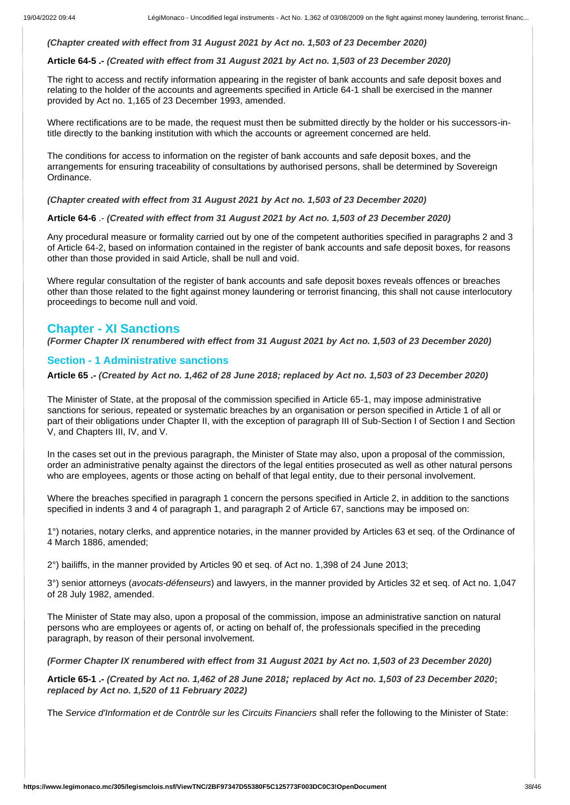# *(Chapter created with effect from 31 August 2021 by Act no. 1,503 of 23 December 2020)*

#### **Article 64-5 .-** *(Created with effect from 31 August 2021 by Act no. 1,503 of 23 December 2020)*

The right to access and rectify information appearing in the register of bank accounts and safe deposit boxes and relating to the holder of the accounts and agreements specified in Article 64-1 shall be exercised in the manner provided by Act no. 1,165 of 23 December 1993, amended.

Where rectifications are to be made, the request must then be submitted directly by the holder or his successors-intitle directly to the banking institution with which the accounts or agreement concerned are held.

The conditions for access to information on the register of bank accounts and safe deposit boxes, and the arrangements for ensuring traceability of consultations by authorised persons, shall be determined by Sovereign Ordinance.

*(Chapter created with effect from 31 August 2021 by Act no. 1,503 of 23 December 2020)*

**Article 64-6** .- *(Created with effect from 31 August 2021 by Act no. 1,503 of 23 December 2020)*

Any procedural measure or formality carried out by one of the competent authorities specified in paragraphs 2 and 3 of Article 64-2, based on information contained in the register of bank accounts and safe deposit boxes, for reasons other than those provided in said Article, shall be null and void.

Where regular consultation of the register of bank accounts and safe deposit boxes reveals offences or breaches other than those related to the fight against money laundering or terrorist financing, this shall not cause interlocutory proceedings to become null and void.

# **Chapter - XI Sanctions**

*(Former Chapter IX renumbered with effect from 31 August 2021 by Act no. 1,503 of 23 December 2020)*

# **Section - 1 Administrative sanctions**

**Article 65 .-** *(Created by Act no. 1,462 of 28 June 2018; replaced by Act no. 1,503 of 23 December 2020)*

The Minister of State, at the proposal of the commission specified in Article 65-1, may impose administrative sanctions for serious, repeated or systematic breaches by an organisation or person specified in Article 1 of all or part of their obligations under Chapter II, with the exception of paragraph III of Sub-Section I of Section I and Section V, and Chapters III, IV, and V.

In the cases set out in the previous paragraph, the Minister of State may also, upon a proposal of the commission, order an administrative penalty against the directors of the legal entities prosecuted as well as other natural persons who are employees, agents or those acting on behalf of that legal entity, due to their personal involvement.

Where the breaches specified in paragraph 1 concern the persons specified in Article 2, in addition to the sanctions specified in indents 3 and 4 of paragraph 1, and paragraph 2 of Article 67, sanctions may be imposed on:

1°) notaries, notary clerks, and apprentice notaries, in the manner provided by Articles 63 et seq. of the Ordinance of 4 March 1886, amended;

2°) bailiffs, in the manner provided by Articles 90 et seq. of Act no. 1,398 of 24 June 2013;

3°) senior attorneys (*avocats-défenseurs*) and lawyers, in the manner provided by Articles 32 et seq. of Act no. 1,047 of 28 July 1982, amended.

The Minister of State may also, upon a proposal of the commission, impose an administrative sanction on natural persons who are employees or agents of, or acting on behalf of, the professionals specified in the preceding paragraph, by reason of their personal involvement.

*(Former Chapter IX renumbered with effect from 31 August 2021 by Act no. 1,503 of 23 December 2020)*

**Article 65-1 .-** *(Created by Act no. 1,462 of 28 June 2018; replaced by Act no. 1,503 of 23 December 2020***;**  *replaced by Act no. 1,520 of 11 February 2022)*

The *Service d'Information et de Contrôle sur les Circuits Financiers* shall refer the following to the Minister of State: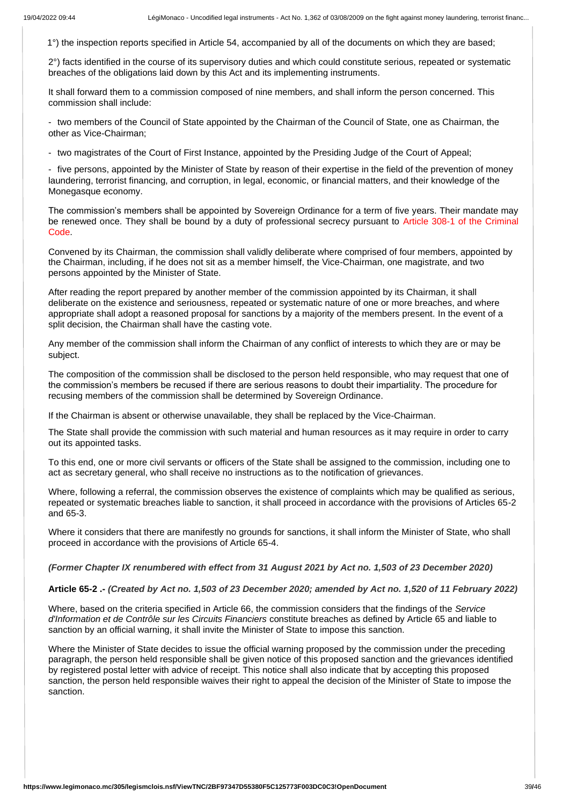1°) the inspection reports specified in Article 54, accompanied by all of the documents on which they are based;

2°) facts identified in the course of its supervisory duties and which could constitute serious, repeated or systematic breaches of the obligations laid down by this Act and its implementing instruments.

It shall forward them to a commission composed of nine members, and shall inform the person concerned. This commission shall include:

- two members of the Council of State appointed by the Chairman of the Council of State, one as Chairman, the other as Vice-Chairman;

- two magistrates of the Court of First Instance, appointed by the Presiding Judge of the Court of Appeal;

- five persons, appointed by the Minister of State by reason of their expertise in the field of the prevention of money laundering, terrorist financing, and corruption, in legal, economic, or financial matters, and their knowledge of the Monegasque economy.

The commission's members shall be appointed by Sovereign Ordinance for a term of five years. Their mandate may be renewed once. They shall be bound by a duty of professional secrecy pursuant to Article 308-1 of the Criminal Code.

Convened by its Chairman, the commission shall validly deliberate where comprised of four members, appointed by the Chairman, including, if he does not sit as a member himself, the Vice-Chairman, one magistrate, and two persons appointed by the Minister of State.

After reading the report prepared by another member of the commission appointed by its Chairman, it shall deliberate on the existence and seriousness, repeated or systematic nature of one or more breaches, and where appropriate shall adopt a reasoned proposal for sanctions by a majority of the members present. In the event of a split decision, the Chairman shall have the casting vote.

Any member of the commission shall inform the Chairman of any conflict of interests to which they are or may be subject.

The composition of the commission shall be disclosed to the person held responsible, who may request that one of the commission's members be recused if there are serious reasons to doubt their impartiality. The procedure for recusing members of the commission shall be determined by Sovereign Ordinance.

If the Chairman is absent or otherwise unavailable, they shall be replaced by the Vice-Chairman.

The State shall provide the commission with such material and human resources as it may require in order to carry out its appointed tasks.

To this end, one or more civil servants or officers of the State shall be assigned to the commission, including one to act as secretary general, who shall receive no instructions as to the notification of grievances.

Where, following a referral, the commission observes the existence of complaints which may be qualified as serious, repeated or systematic breaches liable to sanction, it shall proceed in accordance with the provisions of Articles 65-2 and 65-3.

Where it considers that there are manifestly no grounds for sanctions, it shall inform the Minister of State, who shall proceed in accordance with the provisions of Article 65-4.

*(Former Chapter IX renumbered with effect from 31 August 2021 by Act no. 1,503 of 23 December 2020)*

#### **Article 65-2 .-** *(Created by Act no. 1,503 of 23 December 2020; amended by Act no. 1,520 of 11 February 2022)*

Where, based on the criteria specified in Article 66, the commission considers that the findings of the *Service d'Information et de Contrôle sur les Circuits Financiers* constitute breaches as defined by Article 65 and liable to sanction by an official warning, it shall invite the Minister of State to impose this sanction.

Where the Minister of State decides to issue the official warning proposed by the commission under the preceding paragraph, the person held responsible shall be given notice of this proposed sanction and the grievances identified by registered postal letter with advice of receipt. This notice shall also indicate that by accepting this proposed sanction, the person held responsible waives their right to appeal the decision of the Minister of State to impose the sanction.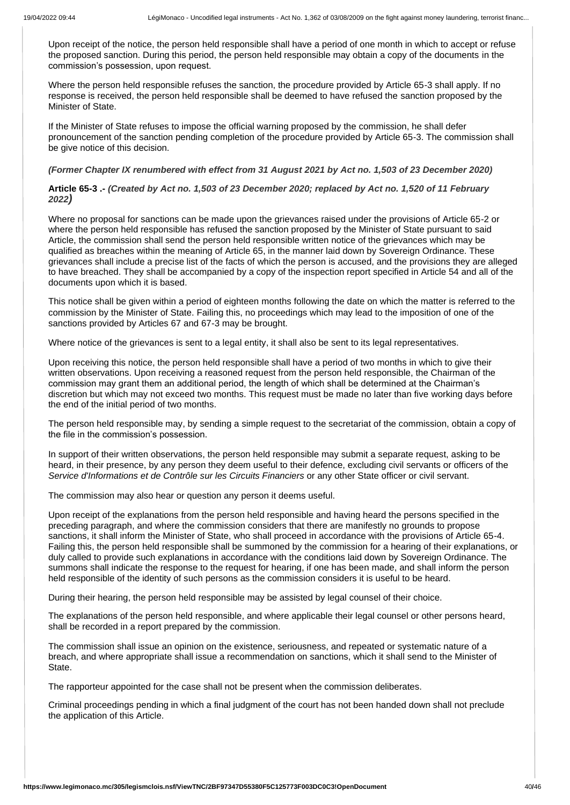Upon receipt of the notice, the person held responsible shall have a period of one month in which to accept or refuse the proposed sanction. During this period, the person held responsible may obtain a copy of the documents in the commission's possession, upon request.

Where the person held responsible refuses the sanction, the procedure provided by Article 65-3 shall apply. If no response is received, the person held responsible shall be deemed to have refused the sanction proposed by the Minister of State.

If the Minister of State refuses to impose the official warning proposed by the commission, he shall defer pronouncement of the sanction pending completion of the procedure provided by Article 65-3. The commission shall be give notice of this decision.

### *(Former Chapter IX renumbered with effect from 31 August 2021 by Act no. 1,503 of 23 December 2020)*

**Article 65-3 .-** *(Created by Act no. 1,503 of 23 December 2020; replaced by Act no. 1,520 of 11 February 2022)*

Where no proposal for sanctions can be made upon the grievances raised under the provisions of Article 65-2 or where the person held responsible has refused the sanction proposed by the Minister of State pursuant to said Article, the commission shall send the person held responsible written notice of the grievances which may be qualified as breaches within the meaning of Article 65, in the manner laid down by Sovereign Ordinance. These grievances shall include a precise list of the facts of which the person is accused, and the provisions they are alleged to have breached. They shall be accompanied by a copy of the inspection report specified in Article 54 and all of the documents upon which it is based.

This notice shall be given within a period of eighteen months following the date on which the matter is referred to the commission by the Minister of State. Failing this, no proceedings which may lead to the imposition of one of the sanctions provided by Articles 67 and 67-3 may be brought.

Where notice of the grievances is sent to a legal entity, it shall also be sent to its legal representatives.

Upon receiving this notice, the person held responsible shall have a period of two months in which to give their written observations. Upon receiving a reasoned request from the person held responsible, the Chairman of the commission may grant them an additional period, the length of which shall be determined at the Chairman's discretion but which may not exceed two months. This request must be made no later than five working days before the end of the initial period of two months.

The person held responsible may, by sending a simple request to the secretariat of the commission, obtain a copy of the file in the commission's possession.

In support of their written observations, the person held responsible may submit a separate request, asking to be heard, in their presence, by any person they deem useful to their defence, excluding civil servants or officers of the *Service d'Informations et de Contrôle sur les Circuits Financiers* or any other State officer or civil servant.

The commission may also hear or question any person it deems useful.

Upon receipt of the explanations from the person held responsible and having heard the persons specified in the preceding paragraph, and where the commission considers that there are manifestly no grounds to propose sanctions, it shall inform the Minister of State, who shall proceed in accordance with the provisions of Article 65-4. Failing this, the person held responsible shall be summoned by the commission for a hearing of their explanations, or duly called to provide such explanations in accordance with the conditions laid down by Sovereign Ordinance. The summons shall indicate the response to the request for hearing, if one has been made, and shall inform the person held responsible of the identity of such persons as the commission considers it is useful to be heard.

During their hearing, the person held responsible may be assisted by legal counsel of their choice.

The explanations of the person held responsible, and where applicable their legal counsel or other persons heard, shall be recorded in a report prepared by the commission.

The commission shall issue an opinion on the existence, seriousness, and repeated or systematic nature of a breach, and where appropriate shall issue a recommendation on sanctions, which it shall send to the Minister of State.

The rapporteur appointed for the case shall not be present when the commission deliberates.

Criminal proceedings pending in which a final judgment of the court has not been handed down shall not preclude the application of this Article.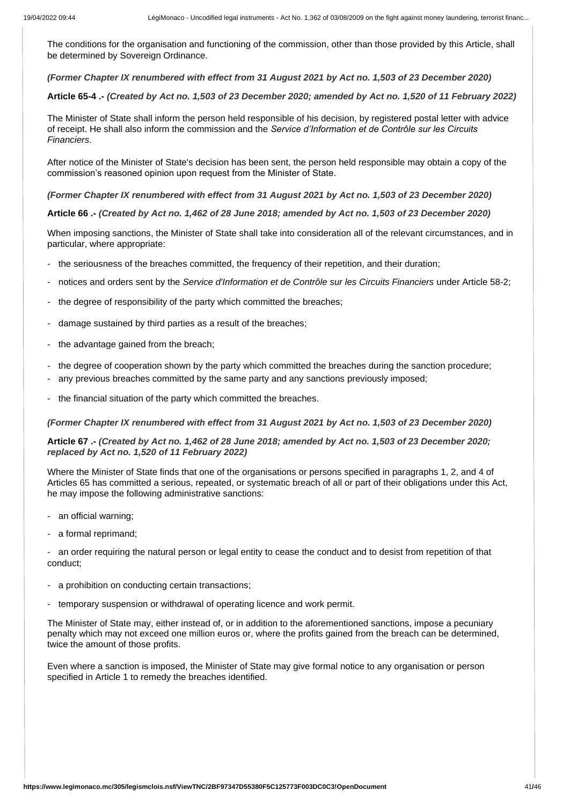The conditions for the organisation and functioning of the commission, other than those provided by this Article, shall be determined by Sovereign Ordinance.

*(Former Chapter IX renumbered with effect from 31 August 2021 by Act no. 1,503 of 23 December 2020)*

**Article 65-4 .-** *(Created by Act no. 1,503 of 23 December 2020; amended by Act no. 1,520 of 11 February 2022)*

The Minister of State shall inform the person held responsible of his decision, by registered postal letter with advice of receipt. He shall also inform the commission and the *Service d'Information et de Contrôle sur les Circuits Financiers*.

After notice of the Minister of State's decision has been sent, the person held responsible may obtain a copy of the commission's reasoned opinion upon request from the Minister of State.

*(Former Chapter IX renumbered with effect from 31 August 2021 by Act no. 1,503 of 23 December 2020)*

**Article 66 .-** *(Created by Act no. 1,462 of 28 June 2018; amended by Act no. 1,503 of 23 December 2020)*

When imposing sanctions, the Minister of State shall take into consideration all of the relevant circumstances, and in particular, where appropriate:

- the seriousness of the breaches committed, the frequency of their repetition, and their duration;
- notices and orders sent by the *Service d'Information et de Contrôle sur les Circuits Financiers* under Article 58-2;
- the degree of responsibility of the party which committed the breaches;
- damage sustained by third parties as a result of the breaches;
- the advantage gained from the breach;
- the degree of cooperation shown by the party which committed the breaches during the sanction procedure;
- any previous breaches committed by the same party and any sanctions previously imposed;
- the financial situation of the party which committed the breaches.

*(Former Chapter IX renumbered with effect from 31 August 2021 by Act no. 1,503 of 23 December 2020)*

# **Article 67 .-** *(Created by Act no. 1,462 of 28 June 2018; amended by Act no. 1,503 of 23 December 2020; replaced by Act no. 1,520 of 11 February 2022)*

Where the Minister of State finds that one of the organisations or persons specified in paragraphs 1, 2, and 4 of Articles 65 has committed a serious, repeated, or systematic breach of all or part of their obligations under this Act, he may impose the following administrative sanctions:

- an official warning;
- a formal reprimand;

- an order requiring the natural person or legal entity to cease the conduct and to desist from repetition of that conduct;

- a prohibition on conducting certain transactions;
- temporary suspension or withdrawal of operating licence and work permit.

The Minister of State may, either instead of, or in addition to the aforementioned sanctions, impose a pecuniary penalty which may not exceed one million euros or, where the profits gained from the breach can be determined, twice the amount of those profits.

Even where a sanction is imposed, the Minister of State may give formal notice to any organisation or person specified in Article 1 to remedy the breaches identified.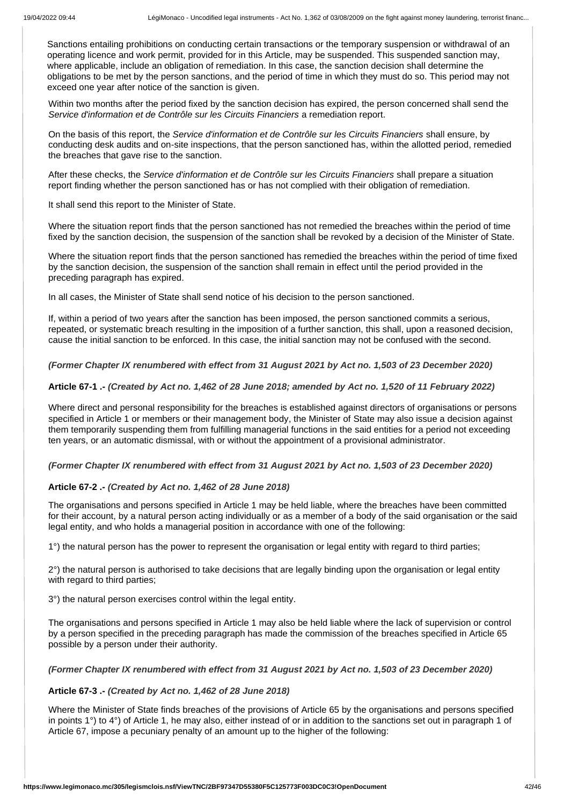Sanctions entailing prohibitions on conducting certain transactions or the temporary suspension or withdrawal of an operating licence and work permit, provided for in this Article, may be suspended. This suspended sanction may, where applicable, include an obligation of remediation. In this case, the sanction decision shall determine the obligations to be met by the person sanctions, and the period of time in which they must do so. This period may not exceed one year after notice of the sanction is given.

Within two months after the period fixed by the sanction decision has expired, the person concerned shall send the *Service d'information et de Contrôle sur les Circuits Financiers* a remediation report.

On the basis of this report, the *Service d'information et de Contrôle sur les Circuits Financiers* shall ensure, by conducting desk audits and on-site inspections, that the person sanctioned has, within the allotted period, remedied the breaches that gave rise to the sanction.

After these checks, the *Service d'information et de Contrôle sur les Circuits Financiers* shall prepare a situation report finding whether the person sanctioned has or has not complied with their obligation of remediation.

It shall send this report to the Minister of State.

Where the situation report finds that the person sanctioned has not remedied the breaches within the period of time fixed by the sanction decision, the suspension of the sanction shall be revoked by a decision of the Minister of State.

Where the situation report finds that the person sanctioned has remedied the breaches within the period of time fixed by the sanction decision, the suspension of the sanction shall remain in effect until the period provided in the preceding paragraph has expired.

In all cases, the Minister of State shall send notice of his decision to the person sanctioned.

If, within a period of two years after the sanction has been imposed, the person sanctioned commits a serious, repeated, or systematic breach resulting in the imposition of a further sanction, this shall, upon a reasoned decision, cause the initial sanction to be enforced. In this case, the initial sanction may not be confused with the second.

*(Former Chapter IX renumbered with effect from 31 August 2021 by Act no. 1,503 of 23 December 2020)*

#### **Article 67-1 .-** *(Created by Act no. 1,462 of 28 June 2018; amended by Act no. 1,520 of 11 February 2022)*

Where direct and personal responsibility for the breaches is established against directors of organisations or persons specified in Article 1 or members or their management body, the Minister of State may also issue a decision against them temporarily suspending them from fulfilling managerial functions in the said entities for a period not exceeding ten years, or an automatic dismissal, with or without the appointment of a provisional administrator.

# *(Former Chapter IX renumbered with effect from 31 August 2021 by Act no. 1,503 of 23 December 2020)*

# **Article 67-2 .-** *(Created by Act no. 1,462 of 28 June 2018)*

The organisations and persons specified in Article 1 may be held liable, where the breaches have been committed for their account, by a natural person acting individually or as a member of a body of the said organisation or the said legal entity, and who holds a managerial position in accordance with one of the following:

1°) the natural person has the power to represent the organisation or legal entity with regard to third parties;

2°) the natural person is authorised to take decisions that are legally binding upon the organisation or legal entity with regard to third parties;

3°) the natural person exercises control within the legal entity.

The organisations and persons specified in Article 1 may also be held liable where the lack of supervision or control by a person specified in the preceding paragraph has made the commission of the breaches specified in Article 65 possible by a person under their authority.

#### *(Former Chapter IX renumbered with effect from 31 August 2021 by Act no. 1,503 of 23 December 2020)*

#### **Article 67-3 .-** *(Created by Act no. 1,462 of 28 June 2018)*

Where the Minister of State finds breaches of the provisions of Article 65 by the organisations and persons specified in points 1°) to 4°) of Article 1, he may also, either instead of or in addition to the sanctions set out in paragraph 1 of Article 67, impose a pecuniary penalty of an amount up to the higher of the following: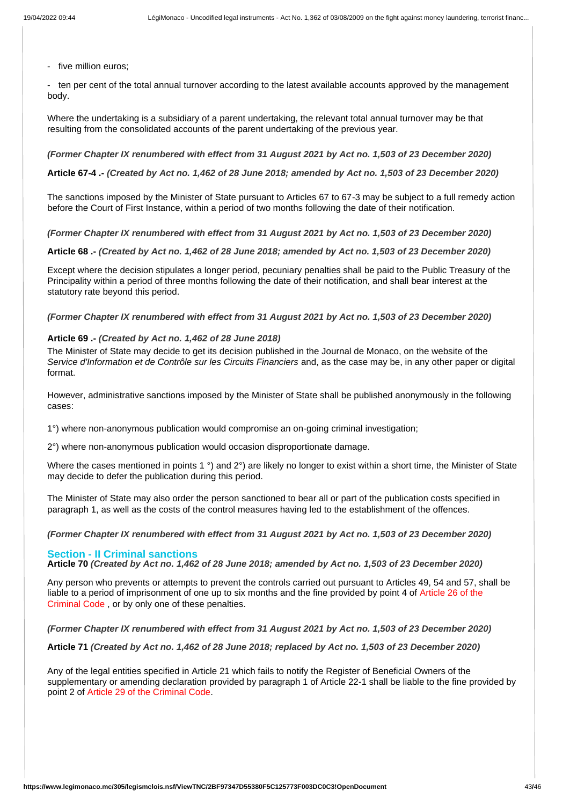- five million euros;

- ten per cent of the total annual turnover according to the latest available accounts approved by the management body.

Where the undertaking is a subsidiary of a parent undertaking, the relevant total annual turnover may be that resulting from the consolidated accounts of the parent undertaking of the previous year.

#### *(Former Chapter IX renumbered with effect from 31 August 2021 by Act no. 1,503 of 23 December 2020)*

**Article 67-4 .-** *(Created by Act no. 1,462 of 28 June 2018; amended by Act no. 1,503 of 23 December 2020)*

The sanctions imposed by the Minister of State pursuant to Articles 67 to 67-3 may be subject to a full remedy action before the Court of First Instance, within a period of two months following the date of their notification.

*(Former Chapter IX renumbered with effect from 31 August 2021 by Act no. 1,503 of 23 December 2020)*

**Article 68 .-** *(Created by Act no. 1,462 of 28 June 2018; amended by Act no. 1,503 of 23 December 2020)*

Except where the decision stipulates a longer period, pecuniary penalties shall be paid to the Public Treasury of the Principality within a period of three months following the date of their notification, and shall bear interest at the statutory rate beyond this period.

*(Former Chapter IX renumbered with effect from 31 August 2021 by Act no. 1,503 of 23 December 2020)* 

# **Article 69 .-** *(Created by Act no. 1,462 of 28 June 2018)*

The Minister of State may decide to get its decision published in the Journal de Monaco, on the website of the *Service d'Information et de Contrôle sur les Circuits Financiers* and, as the case may be, in any other paper or digital format.

However, administrative sanctions imposed by the Minister of State shall be published anonymously in the following cases:

1°) where non-anonymous publication would compromise an on-going criminal investigation;

2°) where non-anonymous publication would occasion disproportionate damage.

Where the cases mentioned in points 1 °) and 2°) are likely no longer to exist within a short time, the Minister of State may decide to defer the publication during this period.

The Minister of State may also order the person sanctioned to bear all or part of the publication costs specified in paragraph 1, as well as the costs of the control measures having led to the establishment of the offences.

*(Former Chapter IX renumbered with effect from 31 August 2021 by Act no. 1,503 of 23 December 2020)*

#### **Section - II Criminal sanctions**

**Article 70** *(Created by Act no. 1,462 of 28 June 2018; amended by Act no. 1,503 of 23 December 2020)*

Any person who prevents or attempts to prevent the controls carried out pursuant to Articles 49, 54 and 57, shall be liable to a period of imprisonment of one up to six months and the fine provided by point 4 of Article 26 of the Criminal Code , or by only one of these penalties.

*(Former Chapter IX renumbered with effect from 31 August 2021 by Act no. 1,503 of 23 December 2020)*

**Article 71** *(Created by Act no. 1,462 of 28 June 2018; replaced by Act no. 1,503 of 23 December 2020)*

Any of the legal entities specified in Article 21 which fails to notify the Register of Beneficial Owners of the supplementary or amending declaration provided by paragraph 1 of Article 22-1 shall be liable to the fine provided by point 2 of Article 29 of the Criminal Code.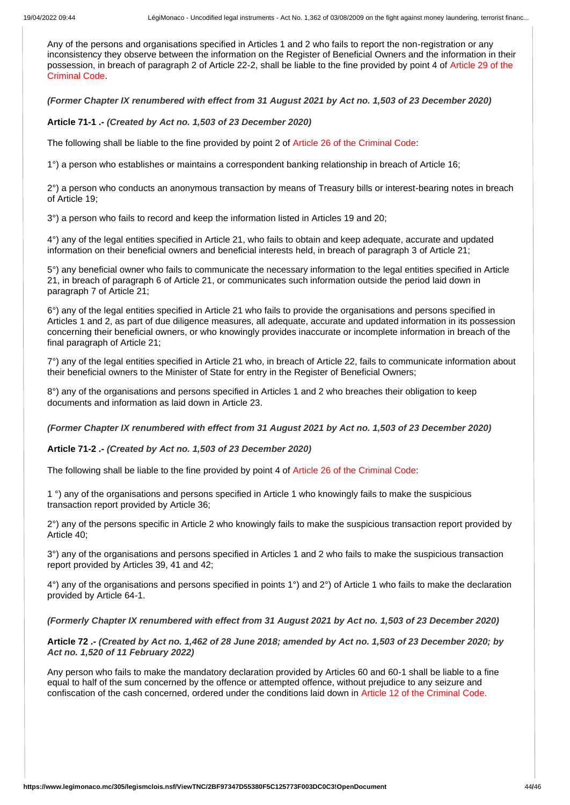Any of the persons and organisations specified in Articles 1 and 2 who fails to report the non-registration or any inconsistency they observe between the information on the Register of Beneficial Owners and the information in their possession, in breach of paragraph 2 of Article 22-2, shall be liable to the fine provided by point 4 of Article 29 of the Criminal Code.

*(Former Chapter IX renumbered with effect from 31 August 2021 by Act no. 1,503 of 23 December 2020)* 

**Article 71-1 .-** *(Created by Act no. 1,503 of 23 December 2020)*

The following shall be liable to the fine provided by point 2 of Article 26 of the Criminal Code:

1°) a person who establishes or maintains a correspondent banking relationship in breach of Article 16;

2°) a person who conducts an anonymous transaction by means of Treasury bills or interest-bearing notes in breach of Article 19;

3°) a person who fails to record and keep the information listed in Articles 19 and 20;

4°) any of the legal entities specified in Article 21, who fails to obtain and keep adequate, accurate and updated information on their beneficial owners and beneficial interests held, in breach of paragraph 3 of Article 21;

5°) any beneficial owner who fails to communicate the necessary information to the legal entities specified in Article 21, in breach of paragraph 6 of Article 21, or communicates such information outside the period laid down in paragraph 7 of Article 21;

6°) any of the legal entities specified in Article 21 who fails to provide the organisations and persons specified in Articles 1 and 2, as part of due diligence measures, all adequate, accurate and updated information in its possession concerning their beneficial owners, or who knowingly provides inaccurate or incomplete information in breach of the final paragraph of Article 21;

7°) any of the legal entities specified in Article 21 who, in breach of Article 22, fails to communicate information about their beneficial owners to the Minister of State for entry in the Register of Beneficial Owners;

8°) any of the organisations and persons specified in Articles 1 and 2 who breaches their obligation to keep documents and information as laid down in Article 23.

*(Former Chapter IX renumbered with effect from 31 August 2021 by Act no. 1,503 of 23 December 2020)* 

**Article 71-2 .-** *(Created by Act no. 1,503 of 23 December 2020)*

The following shall be liable to the fine provided by point 4 of Article 26 of the Criminal Code:

1 °) any of the organisations and persons specified in Article 1 who knowingly fails to make the suspicious transaction report provided by Article 36;

2°) any of the persons specific in Article 2 who knowingly fails to make the suspicious transaction report provided by Article 40;

3°) any of the organisations and persons specified in Articles 1 and 2 who fails to make the suspicious transaction report provided by Articles 39, 41 and 42;

4°) any of the organisations and persons specified in points 1°) and 2°) of Article 1 who fails to make the declaration provided by Article 64-1.

#### *(Formerly Chapter IX renumbered with effect from 31 August 2021 by Act no. 1,503 of 23 December 2020)*

**Article 72 .-** *(Created by Act no. 1,462 of 28 June 2018; amended by Act no. 1,503 of 23 December 2020; by Act no. 1,520 of 11 February 2022)*

Any person who fails to make the mandatory declaration provided by Articles 60 and 60-1 shall be liable to a fine equal to half of the sum concerned by the offence or attempted offence, without prejudice to any seizure and confiscation of the cash concerned, ordered under the conditions laid down in Article 12 of the Criminal Code.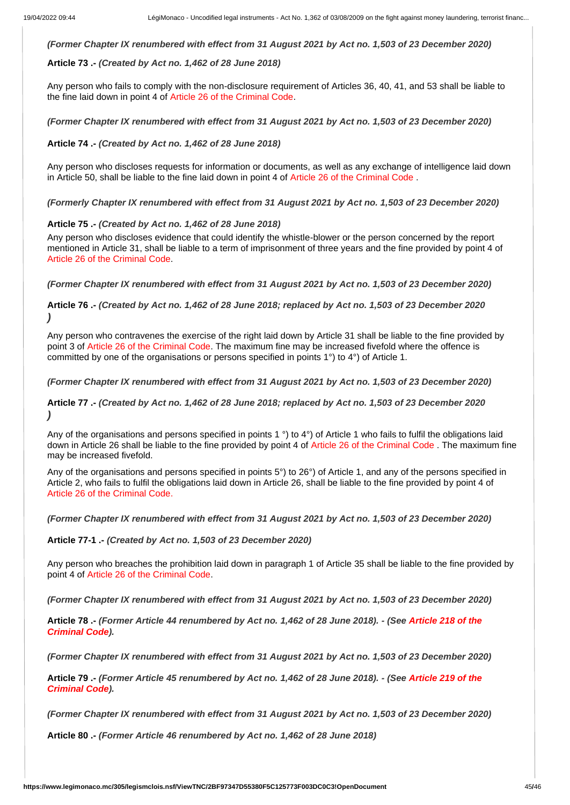*(Former Chapter IX renumbered with effect from 31 August 2021 by Act no. 1,503 of 23 December 2020)* 

## **Article 73 .-** *(Created by Act no. 1,462 of 28 June 2018)*

Any person who fails to comply with the non-disclosure requirement of Articles 36, 40, 41, and 53 shall be liable to the fine laid down in point 4 of Article 26 of the Criminal Code.

*(Former Chapter IX renumbered with effect from 31 August 2021 by Act no. 1,503 of 23 December 2020)* 

**Article 74 .-** *(Created by Act no. 1,462 of 28 June 2018)*

Any person who discloses requests for information or documents, as well as any exchange of intelligence laid down in Article 50, shall be liable to the fine laid down in point 4 of Article 26 of the Criminal Code .

*(Formerly Chapter IX renumbered with effect from 31 August 2021 by Act no. 1,503 of 23 December 2020)* 

#### **Article 75 .-** *(Created by Act no. 1,462 of 28 June 2018)*

Any person who discloses evidence that could identify the whistle-blower or the person concerned by the report mentioned in Article 31, shall be liable to a term of imprisonment of three years and the fine provided by point 4 of Article 26 of the Criminal Code.

*(Former Chapter IX renumbered with effect from 31 August 2021 by Act no. 1,503 of 23 December 2020)*

**Article 76 .-** *(Created by Act no. 1,462 of 28 June 2018; replaced by Act no. 1,503 of 23 December 2020 )*

Any person who contravenes the exercise of the right laid down by Article 31 shall be liable to the fine provided by point 3 of Article 26 of the Criminal Code. The maximum fine may be increased fivefold where the offence is committed by one of the organisations or persons specified in points 1°) to 4°) of Article 1.

*(Former Chapter IX renumbered with effect from 31 August 2021 by Act no. 1,503 of 23 December 2020)*

**Article 77 .-** *(Created by Act no. 1,462 of 28 June 2018; replaced by Act no. 1,503 of 23 December 2020 )*

Any of the organisations and persons specified in points 1<sup>o</sup>) to 4<sup>o</sup>) of Article 1 who fails to fulfil the obligations laid down in Article 26 shall be liable to the fine provided by point 4 of Article 26 of the Criminal Code. The maximum fine may be increased fivefold.

Any of the organisations and persons specified in points 5°) to 26°) of Article 1, and any of the persons specified in Article 2, who fails to fulfil the obligations laid down in Article 26, shall be liable to the fine provided by point 4 of Article 26 of the Criminal Code.

*(Former Chapter IX renumbered with effect from 31 August 2021 by Act no. 1,503 of 23 December 2020)* 

**Article 77-1 .-** *(Created by Act no. 1,503 of 23 December 2020)*

Any person who breaches the prohibition laid down in paragraph 1 of Article 35 shall be liable to the fine provided by point 4 of Article 26 of the Criminal Code.

*(Former Chapter IX renumbered with effect from 31 August 2021 by Act no. 1,503 of 23 December 2020)*

**Article 78 .-** *(Former Article 44 renumbered by Act no. 1,462 of 28 June 2018). - (See Article 218 of the Criminal Code).*

*(Former Chapter IX renumbered with effect from 31 August 2021 by Act no. 1,503 of 23 December 2020)*

**Article 79 .-** *(Former Article 45 renumbered by Act no. 1,462 of 28 June 2018). - (See Article 219 of the Criminal Code).*

*(Former Chapter IX renumbered with effect from 31 August 2021 by Act no. 1,503 of 23 December 2020)* 

**Article 80 .-** *(Former Article 46 renumbered by Act no. 1,462 of 28 June 2018)*